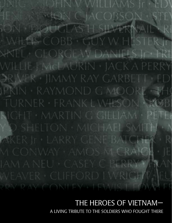)HN V WILLIAMS Ir • EDV *GION CIACOBSON · STEN* SON DOUGLAS HISLLYERINAIN RI · WHES COBB · GUY W. HESTER In **XPATEL : GEORGE W DANIELS Jr . FRE** WILLIE-FMcLAURIN · IACK A PERRY DRIMER · JIMMY RAY GARBETT · ED' IPKIN • RAYMOND G MOORE • THO TURNER FRANKLWHSON ROBI RICHT · MARTIN G GILLIAM · PETER Y D SHELTON · MICHAEL SMITH · N **PAKER IT • LARRY GENE BATCHER • R** M CONWAY AMOS M CRAICH · IE IAM A NEU · CASEY C PERRY • FILAN WEAVER CLIFFORD I WRIGHT NEU RRY RAY CONLEY HEVYS LEOWIE

# THE HEROES OF VIETNAM— A LIVING TRIBUTE TO THE SOLDIERS WHO FOUGHT THERE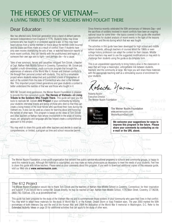# THE HEROES OF VIETNAM— A LIVING TRIBUTE TO THE SOLDIERS WHO FOUGHT THERE

## Dear Educator:

War has affected every American generation since a band of defiant patriots declared independence from England in 1776. Students today may know someone who has fought in or protested against a war, or they may have heard stories from a family member or friend about the terrible costs incurred and the brave sacrifices made as a result of conflict. Even if students have only seen movies dramatizing the acts of war, or watched television reports of more recent conflicts, they can identify with the youthfulness and hopes of someone their own age sent to fight—and perhaps die—for a cause.

Tales of war survivors, heroes and casualties intrigued Tom Dzicek, a teacher at Capt. Nathan Hale Middle School in Coventry, Connecticut. Mr. Dzicek put together a multi-dimensional, multi-curricular program that brought the experiences of veterans of the World War II, Korean and Vietnam conflicts to life through their personal contact with students. This led to a remarkable project where students researched and published a book of biographies of each of the soldiers from the state of Connecticut who died in the Vietnam War. This important project linked generations and gave students a context to better understand the realities of that war and those who fought in it.

With Mr. Dzicek's kind permission, the Weiner Nusim Foundation is pleased to provide this free curriculum guide, **The Heroes of Vietnam—A Living Tribute to the Soldiers Who Fought There.** This guide will give you the tools to replicate Mr. Dzicek's **612 Project** in your community by helping your students interview friends and family of those who died so that they can create a living history of the local heroes who sacrificed their lives during the Vietnam era. It also can be used as a basis for learning about and honoring the heroes of other wars. This program is based on the ideas of Tom Dzicek and other teachers at Nathan Hale whose involvement in the areas of history, music, art, geography and language arts has helped create a comprehensive approach to this project.

You may wish to share this guide with other teachers and decide to enact as comprehensive, or limited, a program as time and school resources permit.

Silmréab<sup>\*</sup>

**Bátdámbáng** 

Phoum Thing?

Méanchey.

Since America recently celebrated the 50th anniversary of Veterans Day—and the sacrifices of soldiers involved in recent conflicts have been an ongoing national issue for some time—the topics covered in this guide offer excellent opportunities for student analysis of recent events in the light of the lessons of Vietnam and the era during which that war was fought.

The activities in this guide have been developed for high school and middle school students, although teachers of courses about the 1960s or even college history professors can adapt the content for their classes. Middle school teachers may want to use the suggested modifications or may wish to challenge their students using the guide in its complete form.

This is an unparalleled opportunity to bring history alive in the classroom in ways that will forge a meaningful, unforgettable link between students. teachers, and the community at large. We hope you will share these materials with the appropriate teaching staff as a stimulating source of enrichment for your students.

oberta Nusin

Roberta Nusim Executive Director The Weiner Nusim Foundation

Coc Ninh

The Weiner Nusim<br>Foundation The Weiner Nusim Foundation www.weinernusim.com WeinerNusim@aol.com

Piniku

We welcome your suggestions for ways to **improve this program in the future. Please share your comments by contacting us via e-mail or the URL above.** 

**Cui Nhos** 

Tuy Hoa

Cam Hanh

The Weiner Nusim Foundation, a non-profit organization that delivers free public-service educational programs to schools and community groups, is happy to send this material to you. Although the material is copyrighted, you may make as many photocopies as necessary to meet the needs of your students. Feel free to share this guide with fellow teachers. Please send us your comments about this program. If you wish to download additional copies of this resource guide, visit our Web site at **www.weinernusim.com.**

Tréng<sub>2</sub>

CAMBODIA

Ponh

### The 612 Project

Trail 50

100 Kilometers

Kabin Bari

Aranyaprathet<sup>\*</sup>

The Weiner Nusim Foundation would like to thank Tom Dzicek and the teachers of Nathan Hale Middle School in Coventry, Connecticut, for their inspiration and support. If you would like to contact Mr. Dzicek directly, he may be reached at Capt. Nathan Hale Middle School, 1776 Main Street, Coventry, CT 06238, (860) 742-7334 ext. 279, or at dzicek@snet.net.

inday **Minh** 

This guide has been prepared for the study of the Vietnam War era and to commemorate those soldiers in your community who gave their lives in that conflict. You may wish to adapt these materials for the study of World War II, or the Korean, Desert Storm or Iraqi Freedom wars. The year 2003 marked the 50th anniversary of both Veterans Day and the end of the Korean War, and 2004 the dedication of the World War II memorial in Washington, D.C. Refer to the Extended Activity Ideas on page 20 for additional activities that can apply to the study of other wars.

 $-100$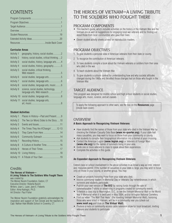# CONTENTS

### **Curricular Areas**

| Activity 1         | geography, history, social studies2         |  |
|--------------------|---------------------------------------------|--|
| <b>Activity 2</b>  | history, social studies, critical thinking2 |  |
| <b>Activity 3</b>  | social studies, history, language arts4     |  |
| <b>Activity 4</b>  | social studies, history, geography5         |  |
| Activity 5         | social studies, critical thinking,          |  |
| Activity 6         | social studies, language arts5              |  |
| Activity 7         |                                             |  |
| Activity 8         |                                             |  |
| <b>Activity 9</b>  | science, social studies, technology,        |  |
| Activity 10        |                                             |  |
| <b>Activity 11</b> | social studies, language arts,              |  |

#### **Student Activities**

| Activity 1         | Places in History-Past and Present9     |  |
|--------------------|-----------------------------------------|--|
| <b>Activity 2</b>  | The Two (or More) Sides to the Story 10 |  |
| <b>Activity 3</b>  |                                         |  |
| Activity 4         | The Times They Are A'Changin'12-13      |  |
| Activity 5         | They Came From Here 14                  |  |
| Activity 6         |                                         |  |
| Activity 7         |                                         |  |
| Activity 8         | A Culture of Another Time16             |  |
| Activity 9         | Heroes of Their Times17                 |  |
| Activity 10        |                                         |  |
| <b>Activity 11</b> |                                         |  |
|                    |                                         |  |

### **Credits**

**The Heroes of Vietnam— A Living Tribute to The Soldiers Who Fought There** was created by

The Weiner Nusim Foundation, Easton, CT Executive Director: Roberta Nusim Writers: Joan L. Lazer, Jane E. Fieberts Editor: Alma Kadragic, Ph.D. Art Director: Paul Fisher

The Weiner Nusim Foundation gratefully acknowledges the inspiration and support of Tom Dzicek and the teachers of Capt. Nathan Hale Middle School in Coventry, CT.

# THE HEROES OF VIETNAM—A LIVING TRIBUTE TO THE SOLDIERS WHO FOUGHT THERE

### PROGRAM COMPONENTS

- This teacher's guide, which includes activities on the history of the Vietnam War and the Vietnam era as well as suggestions for engaging local war veterans and for finding out about those from local communities who gave their lives.
- Eleven student activity sheets printed on reproducible masters.

## PROGRAM OBJECTIVES

- 1. To give students a personal view of American veterans from their state or county.
- 2. To recognize the contribution of American veterans.
- 3. To have students compile a book about the Vietnam veterans or soldiers from their area who died in the war.
- 4. To teach students about the Vietnam War.
- 5. To give students a cultural context for understanding how and why societal attitudes changed during the 1960s and the effect those changes had on those who fought in the Vietnam War.

### TARGET AUDIENCE

This program was designed for middle school and high school students in social studies, language arts, music, science, and art classes.

To apply the following approach to other wars, see the box on the **Resources** page (inside back cover).

### OVERVIEW

#### **A Basic Approach to Recognizing Vietnam Veterans**

- Have students find the names of those from your state who died in the Vietnam War by checking the Vietnam Casualty Data Base **(www.no-quarter.org)**. If your state had many casualties, you may want to focus on those from your community or county.
- Ask students to compile their biographical information into a format of your choosing.
- Contact the American Legion **(www.legion.org)** or Veterans of Foreign Wars **(www.vfw.org)** for the names of survivors living in your area.
- Invite one or more veterans to class to speak about their experiences.
- Complete the activities in this guide.

### **An Expanded Approach to Recognizing Vietnam Veterans**

Extend class or school involvement in the above activities in as broad a way as time, interest and resources permit. If the number of casualties in your state is large, you may wish to focus only on those in your county, or another group. You may:

- Create art projects honoring those from your state who died.
- Involve community leaders in Memorial Day or Veterans Day remembrances in which survivors and students participate.
- Publish your own version of **The 612** by raising funds through the sale of commemorative T-shirts or advertising in programs created for community events.
- Schedule a class trip to Washington, D.C., to see the Vietnam Memorial Wall or the World War II Memorial when it is dedicated in May 2004, and/or Arlington National Cemetery.
- Find out when "The Wall That Heals" (the traveling Vietnam Memorial Wall), honoring those who were killed in Vietnam, will be in a community near you (check out **www.vvmf.org** and click on **The Virtual Wall**).
- Produce a radio or community-access cable television show for local broadcast, inviting veterans and students to participate.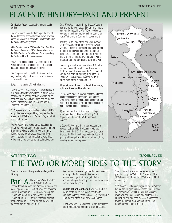# PLACES IN HISTORY—PAST AND PRESENT ACTIVITY ONE **TEACHER'S GUIDE**

Curricular Areas: geography, history, social studies

To give students an understanding of the area of the world that so affected America, we've provided a map for students to complete. Ask them to fill in the map on the activity sheet.

*17th Parallel and the DMZ*—After Dien Bien Phu, the Geneva Accords of 1954 divided Vietnam. At the 17th Parallel, a Demilitarized Zone separating the North and the South was created.

*Hanoi*—the capital of North Vietnam during the war and the current capital of Vietnam. Located about 85 miles from the Gulf of Tonkin.

*Haiphong*—a port city in North Vietnam with a large harbor, subject of some of the most intense bombing of the war.

*Saigon*—the capital of South Vietnam.

*Gulf of Tonkin*—Also known as Gulf of Bac Bo, it is in the northwestern arm of the South China Sea, bordered on its west by northern Vietnam, on its north and east by southern China, and on the east by the Chinese island of Hainan. The port of Haiphong lies on the Gulf.

*Da Nang*—site of one of the first landings of U.S. troops. Became a huge military complex. Located in east central Vietnam, on Da Nang Bay, about 50 miles south of Hue.

*Phnom Penh*—the capital of Cambodia and a major port with an outlet to the South China Sea through the Mekong Delta in Vietnam. In the 1970s, warfare led to forced expulsion from cities—several million inhabitants were driven to live in the countryside as agricultural workers.

*Dien Bien Phu*—a town in northwest Vietnam, near the border with Laos. Site of the climactic battle of the Indochina War (1946-1954) that resulted in the French relinquishing control of North Vietnam to a Communist government.

*Mekong River*—one of the principal rivers of Southeast Asia, forming the border between Myanmar (formerly Burma) and Laos and most of the border between Laos and Thailand. It flows across Cambodia and southern Vietnam, finally entering the South China Sea. It was an important transportation route during the war.

*Hue*—city in central Vietnam about 400 miles south of Hanoi. During the war it was part of South Vietnam. Located near the 17th Parallel and the site of much fighting during the Tet Offensive. The South accused the North of killing most of the civilians of Hue.

#### When students have completed their maps, point out these additional sites:

*Ho Chi Minh Trail*—a network of paths and roads used by the National Liberation Front and the North Vietnamese to transport supplies into South Vietnam, through Laos and Cambodia (dashes on map show approximate location).

*My Lai and the My Lai Massacre*—village where members of Charlie Company, 11th Brigade, killed more than 300 unarmed civilians.

*la Drang Valley*—the first major engagement between U.S. and North Vietnamese forces in the war, with the U.S. Army defeating the North. It forced the North to change battle tactics to hit quickly with surprise and then withdraw quickly, avoiding American firepower.



# THE TWO (OR MORE) SIDES TO THE STORY ACTIVITY TWO **TEACHER'S GUIDE**

Curricular Areas: history, social studies, critical thinking

**Part A.** The Vietnam War (from the Second Indepthine Mark 1950s to 1973), or Second Indochina War, was America's longest and most unpopular war. The first American advisors arrived in Vietnam in 1954 in order to help the French retain control of the country, but the French left in 1956. The first American combat troops arrived in 1965 and fought the war until the cease-fire of January 1973.

Ask students to research, either by themselves or in groups, the following individuals and Vietnamese organizations to get a better understanding of the many players in the Vietnam conflict over the years.

**Middle school teachers:** If you feel the list is too in-depth for your students, feel free to eliminate as many items as necessary. We've put a  $\Box$  at the end of the more advanced listings.

1. *Ho Chi Minh*—Vietnamese Communist leader and principal force behind the struggle against

French colonial rule. Also the leader of the guerrilla group the Viet Minh. President of the DRV (Democratic Republic of Vietnam), or North Vietnam. (e)

2. *Viet Minh*—Nationalist organization in Vietnam that led the struggle against French rule. Founded by Communists in 1941, it included peasants, urban workers, intellectuals, and sectors of the landowning and business classes. It succeeded in driving the French from Vietnam in the First Indochina War (1946-1954). (i)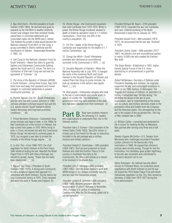### ACTIVITY TWO AND TEACHER'S GUIDE AND THE SERVICE OF THE SERVICE OF THE SERVICE OF THE SERVICE OF THE SERVICE O

3. *Ngo Dinh Diem*—The first president of South Vietnam (1955-1963). He returned land given to peasants by the Viet Minh to wealthy landlords, moved rural villagers from their ancestral homes, placed them in controlled settlements and conscripted males into the ARVN (see 5. below). This fostered the growth of what would become the National Liberation Front (NLF) or Viet Cong, a group committed to Diem's overthrow and the reunification of Vietnam. Assassinated November 2, 1963. (n)

4. *Viet Cong* (or the National Liberation Front for South Vietnam)—Name that refers to guerrilla fighters and Vietnamese Communists fighting against the South and U.S. forces. The term is a contraction of Viet-nam Cong-san and was the equivalent of "Commie." (a)

5. *The Army of the Republic of Vietnam (ARVN)* in South Vietnam—Using these troops, Ngo Dinh Diem took land away from peasants and moved villagers to controlled settlements to prevent Communist activities. (j)

6. *Premier Nguyen Cao Ky*—South Vietnamese premier who met with Lyndon Johnson in 1965. Johnson pledged continued support but said the U.S. would monitor South Vietnam's efforts toward democracy and improved economic conditions.  $\Box$  (b)

7. *Prince Norodom Sihanouk*—Cambodia's king, prime minister and head of state. In the 1960s he kept Cambodia out of the turmoil of Vietnam, but was ousted from power in 1970. While living in exile in China, he formed ties with the Communist Khmer Rouge. He returned to nominal power in 1975, but resigned a year later to protest the brutality of the Khmer Rouge regime.  $\Box$  (f)

8. *Le Duc Tho*—From 1968-1973, the chief negotiator for North Vietnam at the Paris Peace Talks aimed at ending the war. Awarded the Nobel Peace Prize in 1973 with Henry Kissinger, but refused to accept, saying, "Peace has not really been established."  $\Box$  (c)

9. *Nguyen Van Thieu*—President of South Vietnam (1967-1975). A strong anti-Communist, he led a dictatorial regime that opposed U.S. settlement with North Vietnam. Shortly before the final Communist victory in 1975, Thieu resigned and went into exile in Taiwan and England. (k)

10. *Khmer Rouge*—the Communist movement that ruled Cambodia from 1975-1979. While in power, the Khmer Rouge murdered, worked to death or killed by starvation close to 1.7 million Cambodians—more than one-fifth of the country's population. (h)

11. *Pol Pot*—leader of the Khmer Rouge in Cambodia and responsible for the deaths of 1.7 million Cambodians. (g)

12. *Duong Van Minh*—South Vietnamese president who delivered an unconditional surrender to the Communists in 1975.  $\Box$  (d)

13. *Socialist Republic of Vietnam*—When the National Assembly met in July 1976, it changed the name of the combined North and South Vietnam to the Socialist Republic of Vietnam and named Pham Van Dong its prime minister. He took up residence in the nation's new capital, Hanoi.  $\Box$  (m)

14. *Boat people*—Vietnamese refugees who took to the sea in overcrowded and unsafe boats in search of a better life. The Vietnamese government said they were enemies of the state who had been expelled from their homeland. (l)

**Part B.** Now have students research and organizations to understand their role in the Vietnam conflict.

*President Harry S Truman*—33rd president of the United States (1945-1953). Sent \$15 million in military aid to the French for the war in Indochina. Included in the aid package was a military mission and military advisors.

*President Dwight D. Eisenhower*—34th president (1953-1961). Sent aid and protection to South Vietnam and cited the Domino Theory (if one country in Southeast Asia falls to the Communists, the others will follow) as a reason to be involved in Southeast Asia.

*President John F. Kennedy*—35th president (1961-1963). Sent the Green Berets to work with ARVN troops in the villages to provide security and win over the Vietnamese people.

*President Lyndon B. Johnson*—36th president (1963-1969). Became president after the assassination of John F. Kennedy in November 1963. Pursued U.S. policy of containing Communism. After the Tet Offensive, opted not to run for reelection.

*President Richard M. Nixon*—37th president (1969-1974). Expanded the war into Cambodia and Laos. Ordered bombing of the North. Announced a cease-fire on January 23, 1973.

*President Gerald Ford*—38th president (1974- 1977). He announced that the war was "finished" in 1975.

*President Jimmy Carter*—39th president (1977- 1981). He offered a full and unconditional pardon to nearly 10,000 men who evaded the Vietnam War draft.

*The Green Berets*—Established in 1952, highlytrained Special Forces of the U.S. Army specializing in unconventional or guerrilla warfare.

*Robert McNamara*—Secretary of Defense under Presidents Kennedy and Johnson, he originally supported the war, and encouraged escalation in 1964. In his 1995 memoir, *In Retrospect: The Tragedy and Lessons of Vietnam,* he said that U.S. military involvement was "terribly wrong." He attributed the failure of the war to poor organization, lack of understanding of the enemy and its culture, and military decisions made in the president's office and hidden from the Congress and the American public. His retrospective on the war is the subject of the acclaimed film, *The Fog of War,* released late in 2003.

*Lt. William Calley*—convicted and sentenced to life in prison for leading the My Lai Massacre. Was paroled after serving only three and a half years.

*Senator Eugene McCarthy*—U.S. Senator from Minnesota who challenged incumbent President Lyndon Johnson for the Democratic Party nomination in 1968. He argued that Johnson's policies were morally wrong. Though he lost the nomination, his candidacy gave greater legitimacy to the anti-war movement and contributed to Johnson's decision not to run.

*Henry Kissinger*—As national security affairs advisor to President Nixon, he conducted secret negotiations with North Vietnam to end the war. He shared the 1973 Nobel Peace Prize with North Vietnamese negotiator Le Duc Tho, then served as Secretary of State from 1973-1977 during the Ford administration.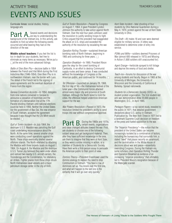# EVENTS AND ISSUES ACTIVITY THREE TEACHER'S GUIDE

Curricular Areas: social studies, history, language arts

**Part A.** Several events and decisions background of the Vietnam era. In this activity, ask students to find out when the following events occurred and what bearing they had on the direction of the war.

**Middle school teachers:** If you feel the list is too in-depth for your students, feel free to eliminate as many items as necessary. We've put a  $\Box$  at the end of the more advanced listings.

*Battle of Dien Bien Phu*—decisive battle in 1954 between the French and Viet Minh during the First Indochina War (1946-1954). Dien Bien Phu is in northwestern Vietnam, near the border with Laos. The defeat of the French led to the signing of peace agreements and the eventual departure of France from the region.

*Geneva Convention Accords*—In 1954, delegates from nine nations convened in Geneva to announce a cessation of hostilities and the formation of a demarcation line at the 17th Parallel dividing Vietnam until national elections could be held in 1956. Neither the United States nor the government of Bao Dai, the new emperor of South Vietnam, accepted the agreement because it was thought that Ho Chi Minh would be elected.  $\square$ 

*Gulf of Tonkin Incident*—In July 1964, the destroyer U.S.S. Maddox was patrolling the Gulf coast undertaking reconnaissance about the North. At the same time, several smaller ships were conducting covert operations against the North. These ships eventually shelled several offshore islands. The North retaliated by attacking the Maddox with three torpedo boats on August 2, 1964. On August 4, the Maddox and the destroyer U.S.S. Turner Joy believed they were under attack and radioed two nearby U.S. aircraft carriers, the Ticonderoga and the Constellation, for retaliatory air strikes. Fighter planes from those ships struck North Vietnamese naval vessels and a major petroleum storage center in the city of Vinh.

*Gulf of Tonkin Resolution*—Passed by Congress on August 7, 1964, it gave President Lyndon Johnson the authority to take action against North Vietnam. Over the next four years Johnson used the resolution to justify sending troops to fight. Critics argued that the president had exaggerated the attack on U.S. ships and exceeded the authority of the resolution by escalating the war.

*Operation Rolling Thunder—*sustained American bombing raids of North Vietnam, beginning in 1965 and continuing for three years.  $\Box$ 

*Operation Breakfast*—In 1969, President Nixon gave the okay for the covert bombing of Cambodia, in an effort to destroy Communist supply routes and base camps. It was conducted without the knowledge of Congress or the American public, and continued for 14 months.  $\square$ 

*Tet Offensive*—Launched on January 29, 1968, the first day of Tet—the Vietnamese festival of the lunar year—the Communist forces attacked almost every major city and province of South Vietnam. Although the North failed to hold the cities, the offensive helped undermine American support for the war.

*War Powers Resolution*—Passed in 1973, the resolution limited the president's ability to send troops into war without congressional approval.

**Part B.** During the 1960s and 1970s, and ideas changed attitudes toward the war. First, ask students to choose one of the following subject areas and get background material. Then, after they have sufficient knowledge in the area, ask them to imagine that they were at Kent State, or they were a soldier missing in action, or a member of Students for a Democratic Society. Have them write a first-person essay to persuade the American public to their point of view.

*Domino Theory*—President Eisenhower used the domino analogy to explain the need to stop Communism in Vietnam. "You have a row of dominoes set up. You knock over the first one, and what will happen to the last one is the certainty that it will go over very quickly."

*Kent State Incident*—fatal shooting of four students by Ohio National Guardsmen during a May 4, 1970, protest against the war at Kent State University in Ohio.

*The Draft*—All males 18 and over were deemed eligible for military service. A lottery was established to determine order of entry into service.

*POWs and MIAs*—soldiers deemed Prisoners of War (almost 600 released in 1973) and Missing in Action (1,800 soldiers still unaccounted for).

*Agent Orange*—herbicide sprayed to kill foliage and deprive the enemy of food and shelter.

*Teach-ins*—forums for discussion of the war among students and faculty. Begun in 1965 at the University of Michigan, the University of Wisconsin and the University of California at Berkeley. Spread nationwide.

*Students for a Democratic Society (SDS)*—a student protest organization. The first student-led anti-war demonstration drew 20,000 people in Washington, D.C., in April 1965.

*Pentagon Papers*—a top-secret study, revealed to the public in 1971, that detailed government deceptions about U.S. policy in Vietnam. Publication by *The New York Times* in 1971 led to a landmark Supreme Court decision on freedom of the press and fueled opposition to the war.

*The "Imperial Presidency"*—the notion that the president of the United States can become increasingly isolated by a combination of factors, including the bureaucracy that surrounds him, a stated "need" that places security as paramount, and the centralization in the White House of decisions about war and peace—essentially overriding Congress. During the Vietnam era, some scholars cited Operation Rolling Thunder and Operation Breakfast as evidence of an increasing "imperial presidency" that ultimately led to President Nixon's resignation because of the Watergate scandal.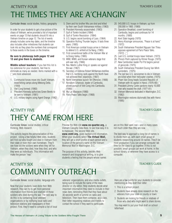# THE TIMES THEY ARE A'CHANGIN' ACTIVITY FOUR TEACHER'S GUIDE

#### Curricular Areas: social studies, history, geography

In order for your students to get a true picture of the chaos of Vietnam, we've provided a list of important events on page 13 that students should fit into a Vietnam timeline on page 12. The list of events already includes some key dates, and the timeline also includes other milestones that students can look into as they place the numbers that correspond to these events in the boxes on the timeline.

#### **Be sure to photocopy both pages 12 and 13 and give them to students.**

**Middle school teachers:** If you feel this list is too extensive for your students, feel free to eliminate as many as needed. Items marked with a  $\Box$  are more advanced.

- 1. Communist forces move into South Vietnam, establishing camps along Mekong Delta. (1958)
- 2. Viet Cong formed. (1960)
- 3. President Kennedy authorizes Green Berets to be sent to Vietnam. (1961)
- 4. U.S. military begins using Agent Orange. (1962)
- 5. Diem and his brother Nhu are shot and killed by their own South Vietnamese military. (1963)
- 6. President Kennedy assassinated. (1963)
- 7. Gulf of Tonkin Incident (1964)
- 8. Gulf of Tonkin Resolution (1964)
- 9. U.S. begins secret bombing of Laos. (1964)
- 10. Operation Rolling Thunder begins. It lasts three years. (1965)
- 11. First American combat troops arrive in Vietnam to defend U.S. airfield at Da Nang. (1965)
- 12. First conventional battle of the Vietnam War at la Drang Valley. (1965)
- 13. WWI, WWII, and Korean veterans stage first anti-war rally. (1966)
- 14. Rev. Martin Luther King Jr. speaks out against the war. (1967)
- 15. Secretary of Defense Robert McNamara testifies that U.S. bombing raids against the North have not achieved their objectives. (1967)
- 16. North Vietnamese launch Tet Offensive. (1968)
- 17. Norodom Sihanouk, leader of Cambodia, allows pursuit of Viet Cong into Cambodia.  $(1968)$   $\Box$
- 18. My Lai Massacre (1968)
- 19. Paris Peace Talks begin. (1968)
- 20. 543,000 U.S. troops in Vietnam, up from 200,000 in 1965. (1969)
- 21. Operation Breakfast, covert bombing of Cambodia, begins and continues for 14 months. (1969)
- 22. Kent State tragedy (1970)
- 23. Henry Kissinger announces, "Peace is at hand." (1972)
- 24. South Vietnamese President Nguyen Van Thieu opposes agreement at Paris Peace Talks.  $(1972)$   $\Box$
- 25. Last U.S. combat troops leave Vietnam. (1973)
- 26. Phnom Penh captured by Khmer Rouge. (1975)
- 27. New Cambodian leader Pol Pot begins period of genocide. (1975)
- 28. South Vietnamese President Duong Van Minh surrenders. (1975)
- 29. The last two U.S. servicemen to die in Vietnam are killed when their helicopter crashes. (1975)
- 30. Pham Van Dong heads Socialist Republic of Vietnam with its capital in Hanoi. (1976-80)  $\Box$
- 31. President Jimmy Carter pardons nearly 10,000 men who evaded the draft. (1977-81)
- 32. Vietnam Memorial dedicated in Washington, D.C. (1982)
- 33. Washington restores diplomatic ties with Hanoi. (1995)

# THEY CAME FROM HERE ACTIVITY FIVE TEACHER'S GUIDE

Curricular Areas: social studies, critical thinking, Web research

This activity begins the personalization of this project. Using a few helpful Web sites, students will find out who fought and died in Vietnam from their state or even their own hometown. They'll see how old the soldiers were when they left for Vietnam, when they died, how they died, and who they were as individuals. This information will make the person "real."

Preview the Web site **www.no-quarter.org,** a Vietnam Casualty Data Base, to see how easy it is to maneuver. The second Web site, **www.vvmf.org,** gives background information.

When your students select **The Virtual Wall,** they will get a short profile of each person and a location of the person's name on the Vietnam Memorial Wall in Washington, D.C.

The purpose of this activity, besides Web research and biographical writing, is to give students a feeling that the people whose names are on this Wall were real—and in many cases not much older than they are now.

The best way to approach a long list of names is to divide them up, with each small group of students researching around 30 names. They'll be most productive if you can arrange computer lab time for the class to go together. If this is not possible, small groups can work at home, in the school library, or wherever they have access to a computer.

# COMMUNITY OUTREACH ACTIVITY SIX TEACHER'S GUIDE

Curricular Areas: social studies, language arts

Now that your students have done their Web research, they can try to get more personal information from friends and relatives of those soldiers who died during the war. The best way to do this is by contacting local veterans' organizations or by notifying local radio and television stations and newspapers of their project. First, they'll need to compile a list of local veterans' organizations, and also media outlets, being sure to include the name of the news director or city editor. Help students decide what important information they need to include in their news item, reminding them that they have about 30 seconds worth of airtime on radio and television. Then have them compose, as a class, their letter requesting relatives and friends to contact the school if they want to participate.

Here are a few points for your students to consider mentioning as they draft their letter:

- 1. This is a school project.
- 2. Students have already done research on the veterans from your state or county or town.
- 3. Students are looking for friends or relatives of those who died who might want to share stories.

You may want to put your final draft on school letterhead.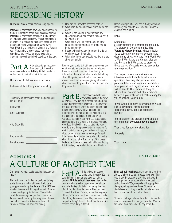# RECORDING HISTORY ACTIVITY SEVEN THE SEVEN THE SECOND SECOND SERVER SERVER THE SERVER SERVER SERVER SERVER SERVER SERVER SERVER

Curricular Areas: social studies, language arts

**Part A** asks students to develop a questionnaire to find out information about local, deceased soldiers. **Part B** asks students to participate in The Library of Congress Veterans History Project, the mission of which "is to collect the memories, accounts and documents of war veterans from World War I, World War II, and the Korean, Vietnam and Persian Gulf Wars, and to preserve these stories of experience and service for future generations." Students may wish to do both activities or just one.

Part A. After students get responses announcements from **Activity 6,** help students write a questionnaire for their interview.

Here's a sample that has proven successful:

Full name of the soldier you are researching:

| The following information about the person you |  |  |  |
|------------------------------------------------|--|--|--|
| are talking to:                                |  |  |  |

 $\frac{1}{2}$  ,  $\frac{1}{2}$  ,  $\frac{1}{2}$  ,  $\frac{1}{2}$  ,  $\frac{1}{2}$  ,  $\frac{1}{2}$  ,  $\frac{1}{2}$  ,  $\frac{1}{2}$  ,  $\frac{1}{2}$  ,  $\frac{1}{2}$  ,  $\frac{1}{2}$  ,  $\frac{1}{2}$  ,  $\frac{1}{2}$ 

 $\Box$  , and the contract of  $\Box$  . The contract of  $\Box$ 

\_\_\_\_\_\_\_\_\_\_\_\_\_\_\_\_\_\_\_\_\_\_\_\_\_\_\_\_\_\_\_\_\_\_\_\_

Full Name: \_\_\_\_\_\_\_\_\_\_\_\_\_\_\_\_\_\_\_\_\_\_\_\_\_\_\_

Street Address: \_\_\_\_\_\_\_\_\_\_\_\_\_\_\_\_\_\_\_\_\_\_\_\_

City, State, Zip: \_\_\_\_\_\_\_\_\_\_\_\_\_\_\_\_\_\_\_\_\_\_\_\_

Phone Number: \_\_\_\_\_\_\_\_\_\_\_\_\_\_\_\_\_\_\_\_\_\_\_\_

E-mail address: \_\_\_\_\_\_\_\_\_\_\_\_\_\_\_\_\_\_\_\_\_\_\_

- 1. How did you know the deceased soldier?
- 2. What were the circumstances surrounding the death?
- 3. Where is the soldier buried? Is there any special monument dedicated to the soldier? If so, where is it?
- 4. What would you like other people to know about this soldier and how he or she should be remembered?
- 5. Please tell us about any humorous incidents you know about the soldier.
- 6. What other information would you like to share about this soldier?

Remind your students that these are personal and emotional stories and that the person relating these facts may have a hard time sharing this information. Be sure to instruct students that they should be polite, patient and act in a mature manner. Ask them to imagine giving information about someone they loved who had died and how they would feel.

**Part B.** Students often don't know daily lives. They may be surprised to find out that one of their teachers is a veteran. Or the owner of the local pharmacy. Or the man who painted their house. This activity will give students the opportunity to interact with these veterans and at the same time participate in The Library of Congress Veterans History Project. Students are asked to go to The Library of Congress Web site, download the checklist and scripted interview questions and then proceed with the interview. To do this activity, you or your students will need a video camera and a separate videotape for each interviewee. It's important that students follow the checklist and script of The Library of Congress. Make sure students understand that by conducting this interview, they are helping to record history.

Here's a sample letter you can put on your school stationary and send to local veterans' groups to generate participation:

#### Hello:

#### Students at

are participating in a project sponsored by The Library of Congress entitled **The Veterans History Project,** whose mission "is to collect the memories, accounts and documents of war veterans from World War I, World War II, and the Korean, Vietnam and Persian Gulf Wars, and to preserve these stories of experience and service for future generations."

The project consists of a videotaped interview in which students will ask you questions. You may also wish to share pictures, letters, documents or mementos from your service days. The interview tape will be sent to The Library of Congress, where it will become part of our nation's history. If you wish, we will make a copy for you to keep for your family.

If you would like more information or would like to participate, please contact: (Teacher's name, address, telephone number)

Information on the project is available on the Internet at **www.loc.gov/folklife/vets**.

Thank you for your consideration.

Sincerely,

Your name

### ACTIVITY EIGHT THE STRUCK IS A 1999 THAT THE STRUCK IS A 1999 THAT THE STRUCK IS A 1999 THAT THE STRUCK IS GUIDE

# A CULTURE OF ANOTHER TIME

Curricular Areas: social studies, language arts, music

The next several activities are designed to help students understand what it was like to be a young person during the decade of the 1960s whether they were still living at home in America or overseas fighting in Vietnam. The activities recall the sweeping changes that occurred in American culture during the progress of the war that helped make the '60s one of the most turbulent decades in American history.

Part A. This activity introduces<br>students to the early '60s—a very different time than the latter part of the decade. **Middle school teachers:** Ask students to use another sheet of paper to write dialogue and note the key plot twists, including the kinds of clothing the characters wore. They can then "convert" the lines of dialogue into the language of today's TV shows or draw comparison sketches of clothing then versus now. They can even recast the plot in today's terms if they think the storyline seemed particularly outdated.

**High school teachers:** After students view their choice of show, they can produce their own "That '60s Show" by creating a storyline as it would have appeared on an actual show broadcast during the early '60s, complete with appropriate dialogue, setting and wardrobe. Students can divide tasks according to skills and interests and then choose parts to act out in class.

Students of all ages should be able to discuss the reasons they made the changes they did. What do the shows from the early '60s say about the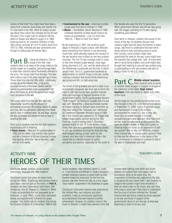## ACTIVITY EIGHT THE STATE IN THE STATE IN THE STATE IN THE STATE IN THE STATE IN THE STATE IN THE STATE IN THE STATE IN THE STATE IN THE STATE IN THE STATE IN THE STATE IN THE STATE IN THE STATE IN THE STATE IN THE STATE IN

culture of that time? You might have them take a scene from a favorite show today and rewrite it as if it had aired in the '60s. What do today's shows say about how culture has changed during the last 40 years? (You might note for students that the debut of *Rowan and Martin's Laugh-In* in 1968 broke ground for its irreverent reflection of late- '60s culture, and that *M* \**A*\**S*\**H,* which aired from 1972 to 1983, reflected anti-war sentiments even though its setting was the Korean War.)

**Part B.** Using the Internet or CDs of students listen to as many of the songs listed on the activity master as is practical, and encourage them to share their opinions about the themes reflected in the lyrics. The songs listed from the early '60s deal with a dance craze of the time, love and good times. Those listed from the mid-'60s reflect, respectively: anxiety about the Vietnam War, pride at the accomplishments of the Green Berets, and an increasing paranoia that some young people felt about the means by which the government might track resistance to the war.

The songs listed from the late '60s deal with, respectively: questioning the wisdom of advocating revolution, the utopian desire for peace and love, and the perceived unfairness that those sent to fight in Vietnam were, by and large, among the less privileged and therefore had no way of avoiding the draft.

Point out to students how the mid-'60s became a transitional point in America:

**• Race issues**—Malcolm X's assassination in 1965 and the Watts riots months later ignited and fed a firestorm of African American protest that equality, while the "law of the land," was still far from reality.

- **Involvement in the war**—American combat troops were first sent to Vietnam in 1965.
- **Music**—The Beatles' album *Revolver* in 1966 contained elements of what would come to be known as psychedelia—a far cry from their 1964 hit, "I Want to Hold Your Hand."

By the beginning of 1967, the country's youth began to embrace a hippie culture, with attitudes about everything from fashion to sex becoming much freer, while attitudes towards the conduct of the war became more militant as anti-war protests mounted. The first TV war coverage aired in close to real time showed jungle warfare, body bags being returned to U.S. soil, and the destruction of the Vietnamese countryside and the huts in which people lived. The U.S. government hardened its determination to commit troops to the war, further creating a situation that would divide America by age group and left- or right-wing bias.

The threat of being drafted and sent to fight in an increasingly unpopular war at an age at which the right to vote had not yet been granted inspired draft-card burnings in flagrant defiance of the government's policy. Some young people became "draft dodgers" by fleeing to Canada until the war was over. Meanwhile, a disproportionate number of solders fighting in Vietnam were minorities, as they were seldom the "fortunate son" referenced in Creedence Clearwater Revival's song of 1969. All of this turmoil was captured in TV images that helped shape public opinion during the '60s. From the shock of seeing John F. Kennedy's assassin killed on live TV, to the Beatles media frenzy that captured a generation of young people, to anti-war protestors burning the American flag, draft dodgers tearing up their cards for the camera, and race riots in American cities—the media had an indelible impact on public perception and opinion, especially for the youth of

that decade who were the first TV generation. When government officials said the war was going well, the images unfolding on TV were saying something quite different.

Even while in Vietnam, soldiers had access to the music of the day. As students discuss how soldiers might have felt about the themes in these songs, lead them to understand that even while being called to duty and being proud to serve their country, some soldiers might have questioned the need for the war, some might have felt resentful that college kids "safe" at home were able to avoid being drafted, and some might have thought that listening to any anti-war protest song or participating in anti-war protests was akin to being a traitor to the U.S. cause.

**Part C.** Middle school teachers: on another sheet of paper in support of or against the statement on the sheet. **High school teachers:** Form two teams to debate both sides of the issue.

Set the stage for this activity by noting that much has changed in the U.S. since the terrorist attacks of September 11, 2001. A host of patriotic songs and expressions of pride in the military accompanied the recent U.S. war in Iraq, and those who protested seemed to find few sympathizers and some backlash. Note that there are two sides to every issue as you position this topic for student debate: Is there still a place in America today for music as an expression of antiwar protest? Why or why not? What do students think it would take to change public opinion? How do they see the differences in the nature of the U.S. involvement in Vietnam in contrast to that of the wars in Afghanistan and Iraq?

# HEROES OF THEIR TIMES ACTIVITY NINE TEACHER'S GUIDE

Curricular Areas: science, social studies, technology, language arts, Web research

Significant events took place on many fronts during the 1960s. Technology and science made a giant leap—and not just on the moon. In **Part A,** students can learn more about John Glenn, Neil Armstrong, Alan B. Shepard Jr., Edward H. White II (who accomplished the first spacewalk by an American, in June 1965), or any other astronauts whose accomplishments furthered the space program. You might note for students that during the mission of Apollo 8 in December 1968 to test

Apollo hardware, crew members James A. Lovell Jr., Frank Borman and William A. Anders focused a portable television camera on planet Earth as they traveled toward the moon and, for the first time, humans saw their home from afar, as a tiny, fragile "blue marble" suspended in the blackness of space.

Coming at a time when America was polarized by the Vietnam War, race relations and other problems, it was an enormously significant accomplishment that went beyond scientific achievement. However, for soldiers mired in the muck of Vietnam, it might have seemed ironic that humans were fighting over North and South Vietnam on a planet that, from space, had no boundaries, while at the same time, the imagination of America was captured by the idea of escaping the very planet itself. Lead students to imagine that soldiers might have wondered: If they can land a man on the moon, why can't they find a way to avoid war? Help them to understand that this kind of schism reflected the "divided" America that was being created by those opposed to the war and those in support of the government's desire to win the war, at what was beginning to seem to be any cost.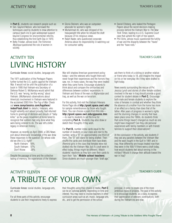### ACTIVITY NINE THE RESERVED OF THE RESERVED OF THE RESERVED OF THE RESERVED OF THE RESERVED OF THE RESERVED OF T

- In **Part C,** students can research people such as:
- **•** Sen. Gaylord Nelson, who borrowed the techniques used by students to draw attention to campus teach-ins to gain widespread support beyond Congress for environmental reforms, thus establishing the first Earth Day in 1970.
- **•** Betty Friedan, whose book *The Feminine Mystique* questioned the role of women in society.
- LIVING HISTORY ACTIVITY TEN TEACHER'S GUIDE
- **•** Gloria Steinem, who was an outspoken advocate for women's rights.
- Muhammad Ali, who was stripped of his heavyweight title when he refused the draft because of his religious views.
- **•** Ralph Nader, who questioned corporate America about its responsibility in watching out for consumer safety.
- **•** Daniel Ellsberg, who leaked the Pentagon Papers about the secret decision-making process behind the Vietnam War to *The New York Times,* leading to a U.S. Supreme Court case that upheld the right of free speech.
- **•** Phil Ochs, whose music questioned the futility of war and the disparity between the "haves" and the "have-nots."

Curricular Areas: social studies, language arts

The 1971 publication of the Pentagon Papers further turned the U.S. public against the Vietnam War. It would not be until the publication of a book in 1995 that Vietnam-era Secretary of Defense Robert S. McNamara would admit that the U.S. was "wrong, terribly wrong" about Vietnam. (McNamara's observations about America's involvement in Vietnam were featured in the acclaimed 2003 film *The Fog of War.* Check out **www.sonyclassics.com/fogofwar/ indexFlash.html** for details.) Veterans, who fought valiantly and served proudly, had returned home to greetings of derision and shouts of "baby killer," as the peace movement at home failed to recognize that soldiers had only done what they were being ordered to do. The war left a bitter legacy in American history.

However, as recently as April 2000, a CBS News poll about Americans' knowledge of the war drew these responses to the question: On whose side did we (the U.S.) fight?

| 18% |
|-----|
| 57% |
| 26% |
|     |

Despite the passage of time and the collective fading of memory, the experiences of the Vietnam War still shadow American government policy today—and the veterans who fought there will never forget their experiences and the horrors they saw, nor, in many cases, the way they were treated when they came home. Encourage students to think about and compare the similarities and differences between soldiers' experiences in Vietnam and those of the wars in Afghanistan and Iraq, as well as the war on terrorism.

For this activity, first visit the Vietnam Veterans Home Page site at **http://grunt.space.swri.edu/** for sample remembrances by those who fought there. You can choose a poem from this site **http://grunt.space.swri.edu/gjpoems.htm** —to read to students to set the tone for completing **Part A.** Students may also draw or sketch their thoughts if they wish.

For **Part B,** number index cards equal to the number of students in your class and next to the number, write a "D" on approximately one-third of them. The "D" will stand for being drafted. Then shuffle the cards and distribute them face down. (Remind girls in the class that females were not drafted into the Vietnam War, but if a draft were in effect today, things might be different.) Watch students' reactions as they turn over their cards to learn their "fate." **Middle school teachers:** Since students are much younger than "draft age,"

ask them to think of a sibling or another relative or friend who today is 18, and imagine the impact on his or her everyday life if they were drafted to fight today.

News events surrounding the rescue of Pvt. Jessica Lynch and stories of other female soldiers involved in the war in Iraq should provide a good context for student debate in **Part C.** Encourage both male and female students to explore the roles of females in combat and whether they think the absence of a mother from the home has more of an effect on a family than does that of the father. After years of progress in women's rights and the stunning changes in society that have taken place since the 1960s, do students think that some things haven't changed as much as one might have imagined? Can they cite personal experiences with family members or with friends' families to support their observations?

At the conclusion of the activity, ask students if they see any parallels between the Vietnam War and the wars fought in the Gulf in 1991 and in Iraq. How differently are troops treated now than they were in the '60s? If there were a draft today, how would students feel about serving in the military? Would it change their attitude toward the war in Iraq?

# A TRIBUTE OF YOUR OWN ACTIVITY FI EVEN TEACHER'S GUIDE

Curricular Areas: social studies, language arts, art, music

For all three parts of this activity, encourage students to use their imaginations freely to express

#### their thoughts using their choice of media. **Part C** can be an optional activity, depending on time and interest. You may need to involve teachers in other curriculum areas such as art, music, language arts, etc., and to get the permission of the school

principal, in order to create one of the more ambitious types of projects. The goal of this activity is to encourage students, as a class, to express their appreciation of veterans' contributions, both during the Vietnam era and now.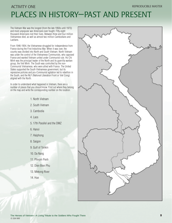# PLACES IN HISTORY—PAST AND PRESENT ACTIVITY ONE **EXAMPLE ASSESSED ASSESSED A**  $\sim$  **REPRODUCIBLE MASTER**

The Vietnam War was the longest (from the late 1950s until 1973) and most unpopular war Americans ever fought. Fifty-eight thousand Americans lost their lives. Between three and four million Vietnamese died, as well as almost two million Cambodians and Laotians.

From 1946-1954, the Vietnamese struggled for independence from France during the First Indochina War. When it was over, the country was divided into North and South Vietnam. North Vietnam was under the control of the Vietnamese Communists, who opposed France and wanted Vietnam united under Communist rule. Ho Chi Minh was the principal leader of the North and its guerrilla warfare group, the Viet Minh. The South was controlled by the non-Communist Vietnamese, who were allied with France. The United States supported the South Vietnamese government, but its repressive policies and pro-Communist agitation led to rebellion in the South, and the NLF (National Liberation Front or Viet Cong) aligned with the North.

In order to understand what happened in Vietnam, there are a number of places that you should know. Find out where they belong on the map and write the corresponding number on the location.

- 1. North Vietnam
- 2. South Vietnam
- 3. Cambodia
- 4. Laos
- 5. 17th Parallel and the DMZ
- 6. Hanoi
- 7. Haiphong
- 8. Saigon
- 9. Gulf of Tonkin
- 10. Da Nang
- 11. Phnom Penh
- 12. Dien Bien Phu
- 13. Mekong River
- 14. Hue

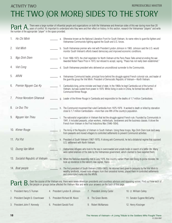# THE TWO (OR MORE) SIDES TO THE STORY ACTIVITY TWO **REPRODUCIBLE MASTER**

**Part A**, There were a large number of influential people and organizations on both the Vietnamese and American sides of this war during more than 20<br>the number of the appropriate "player" in the open provided the number of the appropriate "player" in the space provided.

|    | Ho Chi Minh                       |    | a. Otherwise known as the National Liberation Front for South Vietnam, its name refers to guerrilla fighters and<br>Vietnamese Communists fighting against the South and U.S. forces.                                                                                                     |                                                                                                                                                                                              |                             |  |  |  |  |
|----|-----------------------------------|----|-------------------------------------------------------------------------------------------------------------------------------------------------------------------------------------------------------------------------------------------------------------------------------------------|----------------------------------------------------------------------------------------------------------------------------------------------------------------------------------------------|-----------------------------|--|--|--|--|
| 2. | <b>Viet Minh</b>                  |    |                                                                                                                                                                                                                                                                                           | b. South Vietnamese premier who met with President Lyndon Johnson in 1965. Johnson said the U.S. would<br>monitor South Vietnam's efforts toward democracy and improved economic conditions. |                             |  |  |  |  |
| 3. | Ngo Dinh Diem                     |    | c. From 1968-1973, the chief negotiator for North Vietnam at the Paris Peace Talks aimed at ending the war.<br>Awarded Nobel Peace Prize in 1973, but refused to accept, saying, "Peace has not really been established."                                                                 |                                                                                                                                                                                              |                             |  |  |  |  |
| 4. | Viet Cong                         |    | d. South Vietnamese president who delivered an unconditional surrender to the Communists.                                                                                                                                                                                                 |                                                                                                                                                                                              |                             |  |  |  |  |
| 5. | ARVN                              |    | e. Vietnamese Communist leader, principal force behind the struggle against French colonial rule, and leader of<br>the guerrilla group the Viet Minh. President of Democratic Republic of Vietnam—North Vietnam.                                                                          |                                                                                                                                                                                              |                             |  |  |  |  |
| 6. | Premier Nguyen Cao Ky             |    | Cambodia's king, prime minister and head of state. In the 1960s he kept Cambodia out of the turmoil of<br>Vietnam, but was ousted from power in 1970. While living in exile in China, he formed ties with the<br>Communist Khmer Rouge.                                                   |                                                                                                                                                                                              |                             |  |  |  |  |
| 7. | Prince Norodom Sihanouk           | a. | Leader of the Khmer Rouge in Cambodia and responsible for the deaths of 1.7 million Cambodians.                                                                                                                                                                                           |                                                                                                                                                                                              |                             |  |  |  |  |
| 8. | Le Duc Tho                        |    | h. The Communist movement that ruled Cambodia from 1975-1979. It worked to death or killed by starvation<br>close to 1.7 million Cambodians-more than one-fifth of the country's population.                                                                                              |                                                                                                                                                                                              |                             |  |  |  |  |
| 9. | Nguyen Van Thieu                  |    | The nationalist organization in Vietnam that led the struggle against French rule. Founded by Communists in<br>1941, it included peasants, urban workers, intellectuals, landowners and the business classes. It drove the<br>French from Vietnam in the First Indochina War (1946-1954). |                                                                                                                                                                                              |                             |  |  |  |  |
|    | 10. Khmer Rouge                   |    | The Army of the Republic of Vietnam in South Vietnam. Using these troops, Ngo Dinh Diem took land away<br>from peasants and moved villagers to controlled settlements to prevent Communist activities.                                                                                    |                                                                                                                                                                                              |                             |  |  |  |  |
|    | 11. Pol Pot                       |    | k. President of South Vietnam (1967-1975). A strong anti-Communist, he led a dictatorial regime that opposed<br>U.S. settlement with North Vietnam.                                                                                                                                       |                                                                                                                                                                                              |                             |  |  |  |  |
|    | 12. Duong Van Minh                |    | I. Vietnamese refugees who took to the sea in overcrowded and unsafe boats in search of a better life. Many<br>were called enemies of the state by the Vietnamese government, which claimed to have expelled them.                                                                        |                                                                                                                                                                                              |                             |  |  |  |  |
|    | 13. Socialist Republic of Vietnam |    | m. When the National Assembly met in July 1976, this country named Pham Van Dong its prime minister. He<br>took up residence in the nation's new capital, Hanoi.                                                                                                                          |                                                                                                                                                                                              |                             |  |  |  |  |
|    | 14. Boat people                   |    | n. The first president of South Vietnam (1955-1963). He returned land given to peasants by the Viet Minh to<br>wealthy landlords, moved rural villagers from their ancestral homes, placed them in controlled settlements<br>and conscripted males into the ARVN.                         |                                                                                                                                                                                              |                             |  |  |  |  |
|    | Part                              |    | Over the course of the Vietnam era, there were seven American presidents and countless advisors and opposing voices. Find out how each of<br><b>B</b> . Over the course of the vietnam eta, there were seven American presence and the back of this page.                                 |                                                                                                                                                                                              |                             |  |  |  |  |
|    | 1. President Harry S Truman       |    | 4. President Lyndon B. Johnson<br>7. President Jimmy Carter                                                                                                                                                                                                                               |                                                                                                                                                                                              | 10. Lt. William Calley      |  |  |  |  |
|    | 2. President Dwight D. Eisenhower |    | President Richard M. Nixon<br>8. The Green Berets                                                                                                                                                                                                                                         |                                                                                                                                                                                              | 11. Senator Eugene McCarthy |  |  |  |  |

6. President Gerald Ford

10 **10** The Heroes of Vietnam—A Living Tribute to the Soldiers Who Fought There

12. Henry Kissinger

9. Robert McNamara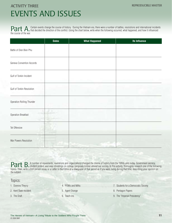# EVENTS AND ISSUES ACTIVITY THREE **REPRODUCIBLE MASTER**

**Part** A. Certain events change the course of history. During the Vietnam era, there were a number of battles, resolutions and international incidents<br>the gauge of the uner the course of the war.

|                                  | <b>Dates</b> | <b>What Happened</b> | <b>Its Influence</b> |
|----------------------------------|--------------|----------------------|----------------------|
| Battle of Dien Bien Phu          |              |                      |                      |
| Geneva Convention Accords        |              |                      |                      |
| Gulf of Tonkin Incident          |              |                      |                      |
| Gulf of Tonkin Resolution        |              |                      |                      |
| <b>Operation Rolling Thunder</b> |              |                      |                      |
| <b>Operation Breakfast</b>       |              |                      |                      |
| Tet Offensive                    |              |                      |                      |
| War Powers Resolution            |              |                      |                      |

**Part B.** A number of movements, revelations and organizations changed the course of history from the 1950s until today. Government secrecy,<br>Then write a first person engay at a latter to the Editor of a paymanage of thet topics. Then, write a first-person essay or a Letter to the Editor of a newspaper of that period as if you were living during that time, describing your opinion on the subject.

### Topics:

- 1. Domino Theory
- 2. Kent State Incident
- 3. The Draft
- 4. POWs and MIAs
- 5. Agent Orange
- 6. Teach-ins
- 7. Students for a Democratic Society
- 8. Pentagon Papers
- 9. The "Imperial Presidency"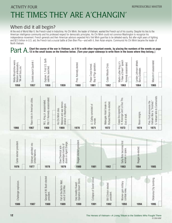# THE TIMES THEY ARE A'CHANGIN' ACTIVITY FOUR **EXECUTES** AND **REPRODUCIBLE MASTER**

## When did it all begin?

At the end of World War II, the French ruled in Indochina. Ho Chi Minh, the leader of Vietnam, wanted the French out of his country. Despite his ties to the American intelligence community and his professed respect for democratic principles, Ho Chi Minh could not convince Washington to recognize his independence movement. French generals and their American advisors expected Ho's Viet Minh guerillas to be defeated easily. But after eight years of fighting and \$2.5 billion in U.S. aid, the French lost a crucial battle at Dien Bien Phu—and with it, their Asian empire. Communist Ho Chi Minh became the leader of North Vietnam.

Part A. 13 in the course of the war in Vietnam, as it fit in with other important events, by placing the numbers of the events on page<br>Part A. 13 in the small boxes on the timeline below. (Turn your paper sideways to write

| warns<br>S<br>ambassado<br>you.<br>Khrushchev<br>bury<br>$\overline{\overline{\overline{s}}}$<br>Nikita Kh<br>Western<br>"We will | Sputnik<br>launch<br>Soviets | Earth<br>S<br>–<br>uncheo<br>ಕ<br>這<br>$\overline{\mathfrak{a}}$<br>$\sim$<br>jer<br>satellite,<br>Explor |      | elected.<br>Kennedy<br>Pres. | operation.<br>formed.<br>Corps<br>Pigs<br>$\overline{\sigma}$<br>Peace<br>Bay | Crisis<br>Missile<br>Cuban | speech<br>ູຕ<br>assassinated<br>写<br>King<br>Dream"<br>uther<br>d<br>Kennedy<br>-<br><b>Have</b><br>Martin<br>"I Have | defeats<br>Johnson<br>ater.<br>Ğ<br>Gol<br>Lyndon<br>∽<br>`<br>Bar | assassinated<br>Malcolm X |
|-----------------------------------------------------------------------------------------------------------------------------------|------------------------------|-----------------------------------------------------------------------------------------------------------|------|------------------------------|-------------------------------------------------------------------------------|----------------------------|-----------------------------------------------------------------------------------------------------------------------|--------------------------------------------------------------------|---------------------------|
| 1956                                                                                                                              | 1957                         | 1958                                                                                                      | 1959 | 1960                         | 1961                                                                          | 1962                       | 1963                                                                                                                  | 1964                                                               | 1965                      |

|      | $\cdot$<br>cities.<br>in American<br>Race riots | assassinated<br>assassinated<br>Kennedy<br>$\equiv$<br>King<br>$\sqcup\!\sqcup$<br>M.L.<br>Rbt. | demon<br>in Washington<br>dies.<br>anti-war<br>Minh<br>Massive<br>stration<br>$\overline{\overline{\epsilon}}$<br>오 |      | Calley convicted of<br>murder.<br>三 | re-elected<br>break-in.<br>Hotel<br><b>Richard Nixon</b><br>Water gate | Tho.<br>Duc<br>ð<br>$\Box$<br>signed<br>and<br>Kissinger<br>draft.<br>Cease-fire<br>$\overline{\sigma}$<br>End<br>云 | resigns.<br>Nixon | Communists.<br>$\approx$<br>Ford announces the<br>"finished.<br>Vietnam falls to<br>S.<br>War<br>Pres. For<br>Vietnam<br>S |
|------|-------------------------------------------------|-------------------------------------------------------------------------------------------------|---------------------------------------------------------------------------------------------------------------------|------|-------------------------------------|------------------------------------------------------------------------|---------------------------------------------------------------------------------------------------------------------|-------------------|----------------------------------------------------------------------------------------------------------------------------|
| 1966 | 1967                                            | 1968                                                                                            | 1969                                                                                                                | 1970 | 1971                                | 1972                                                                   | 1973                                                                                                                | 1974              | 1975                                                                                                                       |

| Carter elected president. | Vietnam admitted into<br><b>United Nations.</b> |                                        | dioxin in Agent Orange.<br>nowledges toxicity of<br>Dow Chemical ack- | Reagan elected president.                      |                           |                                           | Sally Ride becomes first<br>woman in space. | Reagan re-elected. |                        |
|---------------------------|-------------------------------------------------|----------------------------------------|-----------------------------------------------------------------------|------------------------------------------------|---------------------------|-------------------------------------------|---------------------------------------------|--------------------|------------------------|
| 1976                      | 1977                                            | 1978                                   | 1979                                                                  | 1980                                           | 1981                      | 1982                                      | 1983                                        | 1984               | 1985                   |
|                           |                                                 |                                        |                                                                       |                                                |                           |                                           |                                             |                    |                        |
| Challenger explosion.     |                                                 | George H.W. Bush elected<br>president. | of the Berlin Wall;<br>end of Cold War.<br>Fall                       | Operation Desert Storm<br>Iraq invades Kuwait; | Collapse of Soviet Union. | <b>Bill Clinton elected</b><br>president. | Women gain military<br>combat roles.        |                    | Oklahoma City bombing. |
| 1986                      | 1987                                            | 1988                                   | 1989                                                                  | 1990                                           | 1991                      | 1992                                      | 1993                                        | 1994               | 1995                   |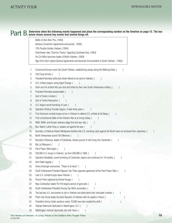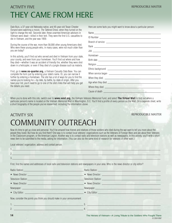# THEY CAME FROM HERE **ACTIVITY FIVE REPRODUCIBLE MASTER**

Dale Buis, a 37-year-old Nebraska native, and 45-year-old Texan Chester Ovnand were watching a movie, *The Tattered Dress,* when they turned on the light to change the reel. Seconds later, these unarmed American advisors in Vietnam were dead—killed in their tent. They were the first U.S. casualties to die in Vietnam, and the year was 1959.

During the course of the war, more than 58,000 other young Americans died. Who were these young people who, in many cases, were not much older than you are today?

In this activity, you'll find out who served and died in Vietnam from your state, your county, and even from your hometown. You'll find out where and how they died—whether it was an accident of friendly fire, whether they were shot down in a helicopter, or even if they died of a jungle disease such as malaria.

First, go to **www.no-quarter.org,** a Vietnam Casualty Data Base. You can complete the form just by entering your state's name. Or, you can narrow it further by entering a hometown. The site has a lot of ways for you to find the names you're looking for—by date, by battle, by state of origin. After you have your list, you'll need to go to one of the site's links that will help you get the details you need.

| Here are some facts you might want to know about a particular person: |  |
|-----------------------------------------------------------------------|--|
|-----------------------------------------------------------------------|--|

When you're done with this site, switch over to **www.vvmf.org,** the Vietnam Veterans Memorial Fund, and select **The Virtual Wall** to find out where a particular person's name is located on the Vietnam Memorial Wall in Washington, D.C. You'll find a profile of every person on the Wall. On a separate sheet, write a short biography of the people you've researched, including the information above.

# COMMUNITY OUTREACH **ACTIVITY SIX** REPRODUCIBLE MASTER

Now it's time to get up close and personal. You'll be amazed how friends and relatives of those soldiers who died during the war want to tell you more about the people they loved. But how do you find them? One way is to contact local veterans' organizations such as the Veterans of Foreign Wars and ask about their Veterans in the Classroom program, or the American Legion. Another way is to contact radio and television stations as well as newspapers. In this activity, you'll write a short news item to be submitted to the media, asking for information. (You can also do the same kind of research for veterans of other wars.)

Local veterans' organization, address and contact person.

| -      |  |
|--------|--|
| $\sim$ |  |

First, find the names and addresses of local radio and television stations and newspapers in your area. Who is the news director or city editor?

| Radio Station: New York Changes and Changes and Changes and Changes and Changes and Changes and Changes and Changes and Changes and Changes and Changes and Changes and Changes and Changes and Changes and Changes and Change |  |
|--------------------------------------------------------------------------------------------------------------------------------------------------------------------------------------------------------------------------------|--|
| • News Director: <u>Contractor</u>                                                                                                                                                                                             |  |
| Television Station: Material Contract Contract Contract Contract Contract Contract Contract Contract Contract Contract Contract Contract Contract Contract Contract Contract Contract Contract Contract Contract Contract Cont |  |
|                                                                                                                                                                                                                                |  |
|                                                                                                                                                                                                                                |  |
|                                                                                                                                                                                                                                |  |
| Now, consider the points you think you should make in your announcement.                                                                                                                                                       |  |
| 1. $\qquad \qquad$ 3.                                                                                                                                                                                                          |  |
| 2. $\qquad \qquad$                                                                                                                                                                                                             |  |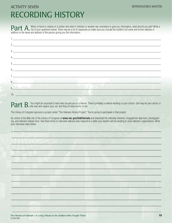# **ACTIVITY SEVEN RECORDING HISTORY**

When a friend or relative of a soldier who died in Vietnam or another war volunteers to give you information, what should you ask? Write a **Part A.** When a triend or relative or a soluter who uled in vietnam or another war volunted by the final year in the solution of the solution of the solution of the solution of the soldier's full name and former address i addition to the name and address of the person giving you the information.

| 4.                                                                                                                                                                                                                                   |  |
|--------------------------------------------------------------------------------------------------------------------------------------------------------------------------------------------------------------------------------------|--|
|                                                                                                                                                                                                                                      |  |
|                                                                                                                                                                                                                                      |  |
|                                                                                                                                                                                                                                      |  |
|                                                                                                                                                                                                                                      |  |
| $\overline{9}$ , and the contract of the contract of the contract of the contract of the contract of the contract of the contract of the contract of the contract of the contract of the contract of the contract of the contract of |  |
|                                                                                                                                                                                                                                      |  |
|                                                                                                                                                                                                                                      |  |

Part B. You might be surprised to learn who around you is a veteran. There's probably a veteran working in your school. One may be your doctor or Section 4. There's probably a veteran working in your school. One may be you

The Library of Congress sponsors a project called "The Veterans History Project." You're going to participate in that project.

Go online to the Web site of the Library of Congress at www.loc.gov/folklife/vets and download the interview checklist, biographical data form, photograph log, and veteran's release form. Use these forms to interview veterans who respond to a letter your teacher will be sending to local veterans' organizations. Write your interview notes below.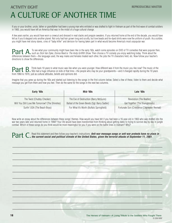# A CULTURE OF ANOTHER TIME ACTIVITY EIGHT **REPRODUCIBLE MASTER**

If you or your brother, uncle, father or grandfather had been a young man who enlisted or was drafted to fight in Vietnam as part of the first wave of combat soldiers in 1965, you would have left an America that was in the midst of a huge cultural change.

A few years earlier, you would have worn a crewcut and dressed in neat slacks and preppie sweaters. If you returned home at the end of the decade, you would have felt as if you'd stepped onto another planet. Not only had hair grown long and scruffy, but love beads and tie-dyed shirts were now the uniform of youth. As a soldier, you might have met stony stares, cries of "baby killer" and derision for having taken part in what would become America's most unpopular war.

**Part A**. To see what your community might have been like in the early '60s, watch some episodes on DVD of TV comedies that were popular then,<br>differences between them, the laguage used the unu melge and fameles tracted ea differences between them—the language used, the way males and females treated each other, the jobs the TV characters held, etc. Now follow your teacher's directions to show the differences.

**Part B**. Think back 10 years to what music was like when you were younger. How different was it from the music you like now? The music of the music of the search of the search of the influence on kids of that time—the peo from 1960 to 1970, just as cultural attitudes, beliefs and opinions did.

Imagine that you grew up during the '60s and started out listening to the songs in the first column below. Select a few of these, listen to them and decide what message you get from them and how you feel. Then do the same for the songs in the next two columns.

| Early '60s                                       | Mid-'60s                                       | Late '60s                                    |
|--------------------------------------------------|------------------------------------------------|----------------------------------------------|
| The Twist (Chubby Checker)                       | The Eve of Destruction (Barry McGuire)         | Revolution (The Beatles)                     |
| Will You Still Love Me Tomorrow? (The Shirelles) | Ballad of the Green Berets (Sgt. Barry Sadler) | Get Together (The Youngbloods)               |
| Surfin' USA (The Beach Boys)                     | For What It's Worth (Buffalo Springfield)      | Fortunate Son (Creedence Clearwater Revival) |

Now write an essay about the differences between these songs' themes. How would you have felt if you had been a 16-year-old in 1963 who was drafted into the war two years later and returned home in 1968? Your life would have been transformed from thinking about getting dates to trying to survive day by day in jungle combat. Which of these songs do you think would be most meaningful for you if you were on the battle lines in Vietnam? Why?

Part C. Read this statement and then follow your teacher's instructions: Anti-war message songs or anti-war protests have no place in<br>Part C. the current social and political climate of the United States, given the terrori

\_\_\_\_\_\_\_\_\_\_\_\_\_\_\_\_\_\_\_\_\_\_\_\_\_\_\_\_\_\_\_\_\_\_\_\_\_\_\_\_\_\_\_\_\_\_\_\_\_\_\_\_\_\_\_\_\_\_\_\_\_\_\_\_\_\_\_\_\_\_\_\_\_\_\_\_\_\_\_\_

\_\_\_\_\_\_\_\_\_\_\_\_\_\_\_\_\_\_\_\_\_\_\_\_\_\_\_\_\_\_\_\_\_\_\_\_\_\_\_\_\_\_\_\_\_\_\_\_\_\_\_\_\_\_\_\_\_\_\_\_\_\_\_\_\_\_\_\_\_\_\_\_\_\_\_\_\_\_\_\_

\_\_\_\_\_\_\_\_\_\_\_\_\_\_\_\_\_\_\_\_\_\_\_\_\_\_\_\_\_\_\_\_\_\_\_\_\_\_\_\_\_\_\_\_\_\_\_\_\_\_\_\_\_\_\_\_\_\_\_\_\_\_\_\_\_\_\_\_\_\_\_\_\_\_\_\_\_\_\_\_

\_\_\_\_\_\_\_\_\_\_\_\_\_\_\_\_\_\_\_\_\_\_\_\_\_\_\_\_\_\_\_\_\_\_\_\_\_\_\_\_\_\_\_\_\_\_\_\_\_\_\_\_\_\_\_\_\_\_\_\_\_\_\_\_\_\_\_\_\_\_\_\_\_\_\_\_\_\_\_\_

\_\_\_\_\_\_\_\_\_\_\_\_\_\_\_\_\_\_\_\_\_\_\_\_\_\_\_\_\_\_\_\_\_\_\_\_\_\_\_\_\_\_\_\_\_\_\_\_\_\_\_\_\_\_\_\_\_\_\_\_\_\_\_\_\_\_\_\_\_\_\_\_\_\_\_\_\_\_\_\_

\_\_\_\_\_\_\_\_\_\_\_\_\_\_\_\_\_\_\_\_\_\_\_\_\_\_\_\_\_\_\_\_\_\_\_\_\_\_\_\_\_\_\_\_\_\_\_\_\_\_\_\_\_\_\_\_\_\_\_\_\_\_\_\_\_\_\_\_\_\_\_\_\_\_\_\_\_\_\_\_

\_\_\_\_\_\_\_\_\_\_\_\_\_\_\_\_\_\_\_\_\_\_\_\_\_\_\_\_\_\_\_\_\_\_\_\_\_\_\_\_\_\_\_\_\_\_\_\_\_\_\_\_\_\_\_\_\_\_\_\_\_\_\_\_\_\_\_\_\_\_\_\_\_\_\_\_\_\_\_\_

\_\_\_\_\_\_\_\_\_\_\_\_\_\_\_\_\_\_\_\_\_\_\_\_\_\_\_\_\_\_\_\_\_\_\_\_\_\_\_\_\_\_\_\_\_\_\_\_\_\_\_\_\_\_\_\_\_\_\_\_\_\_\_\_\_\_\_\_\_\_\_\_\_\_\_\_\_\_\_\_

\_\_\_\_\_\_\_\_\_\_\_\_\_\_\_\_\_\_\_\_\_\_\_\_\_\_\_\_\_\_\_\_\_\_\_\_\_\_\_\_\_\_\_\_\_\_\_\_\_\_\_\_\_\_\_\_\_\_\_\_\_\_\_\_\_\_\_\_\_\_\_\_\_\_\_\_\_\_\_\_

\_\_\_\_\_\_\_\_\_\_\_\_\_\_\_\_\_\_\_\_\_\_\_\_\_\_\_\_\_\_\_\_\_\_\_\_\_\_\_\_\_\_\_\_\_\_\_\_\_\_\_\_\_\_\_\_\_\_\_\_\_\_\_\_\_\_\_\_\_\_\_\_\_\_\_\_\_\_\_\_

\_\_\_\_\_\_\_\_\_\_\_\_\_\_\_\_\_\_\_\_\_\_\_\_\_\_\_\_\_\_\_\_\_\_\_\_\_\_\_\_\_\_\_\_\_\_\_\_\_\_\_\_\_\_\_\_\_\_\_\_\_\_\_\_\_\_\_\_\_\_\_\_\_\_\_\_\_\_\_\_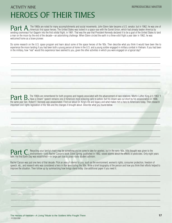# HEROES OF THEIR TIMES ACTIVITY NINE **ACTIVITY NET ALL CONSUMING THE REPRODUCIBLE MASTER**

**Part A.** The 1960s are noted for many accomplishments and social movements. John Glenn later became a U.S. senator, but in 1962, he was one of<br> **Part** A. America's first space heroes. The United States was locked in a spa sending cosmonaut Yuri Gagarin into the first orbital flight, in 1961. That was the year that President Kennedy declared it to be a goal of the United States to land a man on the moon by the end of the decade—an astonishing challenge. When Glenn circled the earth in a three-orbit flight a year later in 1962, he was welcomed home as a brave pioneer.

Do some research on the U.S. space program and learn about some of the space heroes of the '60s. Then describe what you think it would have been like to experience the moon landing if you had been both a young person at home in the U.S. and a young soldier engaged in military combat in Vietnam. If you had been in the military, how "real" would this experience have seemed to you, given the other activities in which you were engaged on a typical day?

\_\_\_\_\_\_\_\_\_\_\_\_\_\_\_\_\_\_\_\_\_\_\_\_\_\_\_\_\_\_\_\_\_\_\_\_\_\_\_\_\_\_\_\_\_\_\_\_\_\_\_\_\_\_\_\_\_\_\_\_\_\_\_\_\_\_\_\_\_\_\_\_\_\_\_\_\_\_\_\_\_\_\_\_\_\_\_\_\_\_\_\_\_\_\_\_\_\_\_\_\_\_\_\_\_\_\_\_\_\_\_\_

\_\_\_\_\_\_\_\_\_\_\_\_\_\_\_\_\_\_\_\_\_\_\_\_\_\_\_\_\_\_\_\_\_\_\_\_\_\_\_\_\_\_\_\_\_\_\_\_\_\_\_\_\_\_\_\_\_\_\_\_\_\_\_\_\_\_\_\_\_\_\_\_\_\_\_\_\_\_\_\_\_\_\_\_\_\_\_\_\_\_\_\_\_\_\_\_\_\_\_\_\_\_\_\_\_\_\_\_\_\_\_\_

\_\_\_\_\_\_\_\_\_\_\_\_\_\_\_\_\_\_\_\_\_\_\_\_\_\_\_\_\_\_\_\_\_\_\_\_\_\_\_\_\_\_\_\_\_\_\_\_\_\_\_\_\_\_\_\_\_\_\_\_\_\_\_\_\_\_\_\_\_\_\_\_\_\_\_\_\_\_\_\_\_\_\_\_\_\_\_\_\_\_\_\_\_\_\_\_\_\_\_\_\_\_\_\_\_\_\_\_\_\_\_\_

\_\_\_\_\_\_\_\_\_\_\_\_\_\_\_\_\_\_\_\_\_\_\_\_\_\_\_\_\_\_\_\_\_\_\_\_\_\_\_\_\_\_\_\_\_\_\_\_\_\_\_\_\_\_\_\_\_\_\_\_\_\_\_\_\_\_\_\_\_\_\_\_\_\_\_\_\_\_\_\_\_\_\_\_\_\_\_\_\_\_\_\_\_\_\_\_\_\_\_\_\_\_\_\_\_\_\_\_\_\_\_\_

\_\_\_\_\_\_\_\_\_\_\_\_\_\_\_\_\_\_\_\_\_\_\_\_\_\_\_\_\_\_\_\_\_\_\_\_\_\_\_\_\_\_\_\_\_\_\_\_\_\_\_\_\_\_\_\_\_\_\_\_\_\_\_\_\_\_\_\_\_\_\_\_\_\_\_\_\_\_\_\_\_\_\_\_\_\_\_\_\_\_\_\_\_\_\_\_\_\_\_\_\_\_\_\_\_\_\_\_\_\_\_\_

\_\_\_\_\_\_\_\_\_\_\_\_\_\_\_\_\_\_\_\_\_\_\_\_\_\_\_\_\_\_\_\_\_\_\_\_\_\_\_\_\_\_\_\_\_\_\_\_\_\_\_\_\_\_\_\_\_\_\_\_\_\_\_\_\_\_\_\_\_\_\_\_\_\_\_\_\_\_\_\_\_\_\_\_\_\_\_\_\_\_\_\_\_\_\_\_\_\_\_\_\_\_\_\_\_\_\_\_\_\_\_\_

**Part B.** The 1960s are remembered for both progress and tragedy associated with the advancement of race relations. Martin Luther King Jr.'s 1963 "I Same a Dream" speech remains one of America's most enduring calls to acti the same year Sen. Robert F. Kennedy was assassinated. Find out about Dr. King's life and legacy and what makes him a hero to Americans today. Then research important civil rights legislation of the '60s and the changes it brought about. Describe what you found below.

\_\_\_\_\_\_\_\_\_\_\_\_\_\_\_\_\_\_\_\_\_\_\_\_\_\_\_\_\_\_\_\_\_\_\_\_\_\_\_\_\_\_\_\_\_\_\_\_\_\_\_\_\_\_\_\_\_\_\_\_\_\_\_\_\_\_\_\_\_\_\_\_\_\_\_\_\_\_\_\_\_\_\_\_\_\_\_\_\_\_\_\_\_\_\_\_\_\_\_\_\_\_\_\_\_\_\_\_\_\_\_\_

\_\_\_\_\_\_\_\_\_\_\_\_\_\_\_\_\_\_\_\_\_\_\_\_\_\_\_\_\_\_\_\_\_\_\_\_\_\_\_\_\_\_\_\_\_\_\_\_\_\_\_\_\_\_\_\_\_\_\_\_\_\_\_\_\_\_\_\_\_\_\_\_\_\_\_\_\_\_\_\_\_\_\_\_\_\_\_\_\_\_\_\_\_\_\_\_\_\_\_\_\_\_\_\_\_\_\_\_\_\_\_\_

\_\_\_\_\_\_\_\_\_\_\_\_\_\_\_\_\_\_\_\_\_\_\_\_\_\_\_\_\_\_\_\_\_\_\_\_\_\_\_\_\_\_\_\_\_\_\_\_\_\_\_\_\_\_\_\_\_\_\_\_\_\_\_\_\_\_\_\_\_\_\_\_\_\_\_\_\_\_\_\_\_\_\_\_\_\_\_\_\_\_\_\_\_\_\_\_\_\_\_\_\_\_\_\_\_\_\_\_\_\_\_\_

\_\_\_\_\_\_\_\_\_\_\_\_\_\_\_\_\_\_\_\_\_\_\_\_\_\_\_\_\_\_\_\_\_\_\_\_\_\_\_\_\_\_\_\_\_\_\_\_\_\_\_\_\_\_\_\_\_\_\_\_\_\_\_\_\_\_\_\_\_\_\_\_\_\_\_\_\_\_\_\_\_\_\_\_\_\_\_\_\_\_\_\_\_\_\_\_\_\_\_\_\_\_\_\_\_\_\_\_\_\_\_\_

 $-$  . The state of the state of the state of the state of the state of the state of the state of the state of the state of the state of the state of the state of the state of the state of the state of the state of the sta

\_\_\_\_\_\_\_\_\_\_\_\_\_\_\_\_\_\_\_\_\_\_\_\_\_\_\_\_\_\_\_\_\_\_\_\_\_\_\_\_\_\_\_\_\_\_\_\_\_\_\_\_\_\_\_\_\_\_\_\_\_\_\_\_\_\_\_\_\_\_\_\_\_\_\_\_\_\_\_\_\_\_\_\_\_\_\_\_\_\_\_\_\_\_\_\_\_\_\_\_\_\_\_\_\_\_\_\_\_\_\_\_

**Part C**. Recycling your family's trash may be something you've come to take for granted, but in the early '60s, little thought was given to the<br>later the first Forth Day was established in large part due to green rocke pu later, the first Earth Day was established—in large part due to grass-roots student activism.

Rachel Carson was just one hero of that decade. Pick an area of interest to you, such as the environment, women's rights, consumer protection, freedom of speech, etc., and research who was considered a hero in that area during the '60s. Write a brief biography of the person and how you think their efforts helped to improve the situation. Then follow up by summarizing how things stand today. Use additional paper if you need it.

\_\_\_\_\_\_\_\_\_\_\_\_\_\_\_\_\_\_\_\_\_\_\_\_\_\_\_\_\_\_\_\_\_\_\_\_\_\_\_\_\_\_\_\_\_\_\_\_\_\_\_\_\_\_\_\_\_\_\_\_\_\_\_\_\_\_\_\_\_\_\_\_\_\_\_\_\_\_\_\_\_\_\_\_\_\_\_\_\_\_\_\_\_\_\_\_\_\_\_\_\_\_\_\_\_\_\_\_\_\_\_\_

 $\Box \Box \Box$  , and the set of the set of the set of the set of the set of the set of the set of the set of the set of the set of the set of the set of the set of the set of the set of the set of the set of the set of the set

 $\Box$ 

\_\_\_\_\_\_\_\_\_\_\_\_\_\_\_\_\_\_\_\_\_\_\_\_\_\_\_\_\_\_\_\_\_\_\_\_\_\_\_\_\_\_\_\_\_\_\_\_\_\_\_\_\_\_\_\_\_\_\_\_\_\_\_\_\_\_\_\_\_\_\_\_\_\_\_\_\_\_\_\_\_\_\_\_\_\_\_\_\_\_\_\_\_\_\_\_\_\_\_\_\_\_\_\_\_\_\_\_\_\_\_\_

\_\_\_\_\_\_\_\_\_\_\_\_\_\_\_\_\_\_\_\_\_\_\_\_\_\_\_\_\_\_\_\_\_\_\_\_\_\_\_\_\_\_\_\_\_\_\_\_\_\_\_\_\_\_\_\_\_\_\_\_\_\_\_\_\_\_\_\_\_\_\_\_\_\_\_\_\_\_\_\_\_\_\_\_\_\_\_\_\_\_\_\_\_\_\_\_\_\_\_\_\_\_\_\_\_\_\_\_\_\_\_\_

\_\_\_\_\_\_\_\_\_\_\_\_\_\_\_\_\_\_\_\_\_\_\_\_\_\_\_\_\_\_\_\_\_\_\_\_\_\_\_\_\_\_\_\_\_\_\_\_\_\_\_\_\_\_\_\_\_\_\_\_\_\_\_\_\_\_\_\_\_\_\_\_\_\_\_\_\_\_\_\_\_\_\_\_\_\_\_\_\_\_\_\_\_\_\_\_\_\_\_\_\_\_\_\_\_\_\_\_\_\_\_\_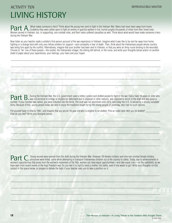# LIVING HISTORY ACTIVITY TEN **EXECUTES** AND **REPRODUCIBLE MASTER**

**Part A.** What makes someone a hero? Think about the young men sent to fight in the Vietnam War. Many had never been away from home.<br>When a sexual in Vietnam the incurrential age combut relax and their reals outfixed equal Women served in Vietnam, too, in supporting, non-combat roles, and their ranks suffered casualties as well. Think about what would have made someone a hero during the Vietnam War.

Now listen as your teacher reads a soldier's first-person account of the war experience in Vietnam. Imagine what it was like to be sent far away from home, fighting in a strange land with only your fellow soldiers for support—and constantly in fear of death. Then, think about the Vietnamese people whose country was being torn apart by the conflict. Alternatively, imagine that your brother had been sent to Vietnam, or that you were an Army nurse tending to the wounded. Choose to "be" one of these people—the soldier, the Vietnamese villager, the sibling left behind, or the nurse, and write your thoughts below and/or on another sheet of paper about your experiences, your feelings, your fears and your hopes.

\_\_\_\_\_\_\_\_\_\_\_\_\_\_\_\_\_\_\_\_\_\_\_\_\_\_\_\_\_\_\_\_\_\_\_\_\_\_\_\_\_\_\_\_\_\_\_\_\_\_\_\_\_\_\_\_\_\_\_\_\_\_\_\_\_\_\_\_\_\_\_\_\_\_\_\_\_\_\_\_\_\_\_\_\_\_\_\_\_\_\_\_\_\_\_\_\_\_\_\_\_\_\_\_\_\_\_\_\_\_\_\_

\_\_\_\_\_\_\_\_\_\_\_\_\_\_\_\_\_\_\_\_\_\_\_\_\_\_\_\_\_\_\_\_\_\_\_\_\_\_\_\_\_\_\_\_\_\_\_\_\_\_\_\_\_\_\_\_\_\_\_\_\_\_\_\_\_\_\_\_\_\_\_\_\_\_\_\_\_\_\_\_\_\_\_\_\_\_\_\_\_\_\_\_\_\_\_\_\_\_\_\_\_\_\_\_\_\_\_\_\_\_\_\_

\_\_\_\_\_\_\_\_\_\_\_\_\_\_\_\_\_\_\_\_\_\_\_\_\_\_\_\_\_\_\_\_\_\_\_\_\_\_\_\_\_\_\_\_\_\_\_\_\_\_\_\_\_\_\_\_\_\_\_\_\_\_\_\_\_\_\_\_\_\_\_\_\_\_\_\_\_\_\_\_\_\_\_\_\_\_\_\_\_\_\_\_\_\_\_\_\_\_\_\_\_\_\_\_\_\_\_\_\_\_\_\_

\_\_\_\_\_\_\_\_\_\_\_\_\_\_\_\_\_\_\_\_\_\_\_\_\_\_\_\_\_\_\_\_\_\_\_\_\_\_\_\_\_\_\_\_\_\_\_\_\_\_\_\_\_\_\_\_\_\_\_\_\_\_\_\_\_\_\_\_\_\_\_\_\_\_\_\_\_\_\_\_\_\_\_\_\_\_\_\_\_\_\_\_\_\_\_\_\_\_\_\_\_\_\_\_\_\_\_\_\_\_\_\_

\_\_\_\_\_\_\_\_\_\_\_\_\_\_\_\_\_\_\_\_\_\_\_\_\_\_\_\_\_\_\_\_\_\_\_\_\_\_\_\_\_\_\_\_\_\_\_\_\_\_\_\_\_\_\_\_\_\_\_\_\_\_\_\_\_\_\_\_\_\_\_\_\_\_\_\_\_\_\_\_\_\_\_\_\_\_\_\_\_\_\_\_\_\_\_\_\_\_\_\_\_\_\_\_\_\_\_\_\_\_\_\_

**Part B**. During the Vietnam War, the U.S. government used a lottery system and drafted people to fight in the war. Every male 18 years or older who<br>Represent the variable way was not enrolled in college or eligible for de number. If your number was called, you were inducted into the Army. The draft was not abolished until 1973, and today the U.S. is served by a strictly volunteer Army. Because of this, young people today are able to enjoy the freedoms fought for by the young people of yesterday, who had no such options.

 $\mathcal{L}_\text{max}$  , and the set of the set of the set of the set of the set of the set of the set of the set of the set of the set of the set of the set of the set of the set of the set of the set of the set of the set of the

 $\Box$  . The set of the set of the set of the set of the set of the set of the set of the set of the set of the set of the set of the set of the set of the set of the set of the set of the set of the set of the set of the s

 $\mathcal{L} = \{ \mathcal{L} = \{ \mathcal{L} = \{ \mathcal{L} = \{ \mathcal{L} = \{ \mathcal{L} = \{ \mathcal{L} = \{ \mathcal{L} = \{ \mathcal{L} = \{ \mathcal{L} = \{ \mathcal{L} = \{ \mathcal{L} = \{ \mathcal{L} = \{ \mathcal{L} = \{ \mathcal{L} = \{ \mathcal{L} = \{ \mathcal{L} = \{ \mathcal{L} = \{ \mathcal{L} = \{ \mathcal{L} = \{ \mathcal{L} = \{ \mathcal{L} = \{ \mathcal{L} = \{ \mathcal{L} = \{ \mathcal{$ 

 $\mathcal{L}_\mathcal{L} = \{ \mathcal{L}_\mathcal{L} = \{ \mathcal{L}_\mathcal{L} = \{ \mathcal{L}_\mathcal{L} = \{ \mathcal{L}_\mathcal{L} = \{ \mathcal{L}_\mathcal{L} = \{ \mathcal{L}_\mathcal{L} = \{ \mathcal{L}_\mathcal{L} = \{ \mathcal{L}_\mathcal{L} = \{ \mathcal{L}_\mathcal{L} = \{ \mathcal{L}_\mathcal{L} = \{ \mathcal{L}_\mathcal{L} = \{ \mathcal{L}_\mathcal{L} = \{ \mathcal{L}_\mathcal{L} = \{ \mathcal{L}_\mathcal{$ 

 $\mathcal{L} = \{ \mathcal{L} = \{ \mathcal{L} = \{ \mathcal{L} = \mathcal{L} \} \mid \mathcal{L} = \{ \mathcal{L} = \{ \mathcal{L} = \mathcal{L} \} \mid \mathcal{L} = \{ \mathcal{L} = \{ \mathcal{L} = \mathcal{L} = \mathcal{L} \} \mid \mathcal{L} = \{ \mathcal{L} = \{ \mathcal{L} = \mathcal{L} = \mathcal{L} \} \mid \mathcal{L} = \{ \mathcal{L} = \{ \mathcal{L} = \mathcal{L} = \{ \mathcal{L} = \mathcal{L} \} \mid \mathcal{L}$ 

Put yourself back in time to 1967, and imagine that you are an 18-year-old who is eligible to be drafted. Pick an index card. Will you be drafted? How do you feel? Write your thoughts below.

**Part C**. Young women were exempt from the draft during the Vietnam War. However, 59 female civilians and nine non-combat female military<br>were also appear tunities that areas from the were religied, some while attempting t women's opportunities that arose from the women's movement of the '60s, women can have equal opportunities—and take equal risks—on the battlefield, as we have seen from recent events in the Iraqi Freedom war. Do you feel it is right to send a mother into battle, even if she wants to go? Write your thoughts on this subject in the space below, or prepare to debate the topic if your teacher asks you to take a position on it.

 $\_$  .  $\_$  .  $\_$  .  $\_$  .  $\_$  .  $\_$  .  $\_$  .  $\_$  .  $\_$  .  $\_$  .  $\_$  .  $\_$  .  $\_$  .  $\_$  .  $\_$  .  $\_$  .  $\_$  .  $\_$  .  $\_$  .  $\_$  .  $\_$  .  $\_$  .  $\_$  .  $\_$  .  $\_$  .  $\_$  .  $\_$  .  $\_$  .  $\_$  .  $\_$  .  $\_$  .  $\_$  .  $\_$  .  $\_$  .  $\_$  .  $\_$  .  $\_$  .

 $\Box$  . The set of the set of the set of the set of the set of the set of the set of the set of the set of the set of the set of the set of the set of the set of the set of the set of the set of the set of the set of the s

 $\ldots$  . The contribution of the contribution of the contribution of the contribution of the contribution of the contribution of the contribution of the contribution of the contribution of the contribution of the contribut

\_\_\_\_\_\_\_\_\_\_\_\_\_\_\_\_\_\_\_\_\_\_\_\_\_\_\_\_\_\_\_\_\_\_\_\_\_\_\_\_\_\_\_\_\_\_\_\_\_\_\_\_\_\_\_\_\_\_\_\_\_\_\_\_\_\_\_\_\_\_\_\_\_\_\_\_\_\_\_\_\_\_\_\_\_\_\_\_\_\_\_\_\_\_\_\_\_\_\_\_\_\_\_\_\_\_\_\_\_\_\_\_

\_\_\_\_\_\_\_\_\_\_\_\_\_\_\_\_\_\_\_\_\_\_\_\_\_\_\_\_\_\_\_\_\_\_\_\_\_\_\_\_\_\_\_\_\_\_\_\_\_\_\_\_\_\_\_\_\_\_\_\_\_\_\_\_\_\_\_\_\_\_\_\_\_\_\_\_\_\_\_\_\_\_\_\_\_\_\_\_\_\_\_\_\_\_\_\_\_\_\_\_\_\_\_\_\_\_\_\_\_\_\_\_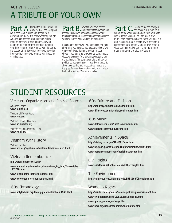# A TRIBUTE OF YOUR OWN ACTIVITY ELEVEN **REPRODUCIBLE MASTER**

Part A. During the 1960s, artists like<br>Sava seem comis of the and images from the Campbell Soup cans, comic strips and images from advertising in their art to show what they thought America had become. Using any visual arts medium, create your own painting, drawing, sculpture, or other art form that best sums up your impression of what America was like during the decade of the 1960s for those who stayed at home and for those who fought a war thousands of miles away.

**Part B.** Now that you have learned met and interviewed someone connected with it, think carefully about the most important impressions you have formed while working on this project.

Focus on the interview(s) you conducted, and think about what you have learned about the effect of war on people's lives. Using the medium of your choice—you can write, draw, sculpt, paint, shoot a video, write scenes for a play, an advertisement or the outline for a film script, even plot a military or political campaign strategy—record your thoughts about the meaning and impact of war, peace, and the quest for—or defense of—freedom as it relates both to the Vietnam War era and today.

**Part C.** Decide as a class how you school to the veterans and others from your state who fought in Vietnam. You can create a wall mural, draw posters dedicated to the veterans, put on a class play, hold a debate, invite speakers to ceremonies surrounding Memorial Day, shoot a video commemorative, etc.—anything to honor those who fought and died in Vietnam.

# STUDENT RESOURCES

### Veterans' Organizations and Related Sources

American Legion **www.legion.org**

Veterans of Foreign Wars **www.vfw.org**

Vietnam Casualty Data Base **www.no-quarter.org**

Vietnam Veterans Memorial Fund **www.vvmf.org**

## Vietnam War History

Vietnam Timeline **www.pbs.org/wgbh/amex/vietnam/time/timeline5.html**

### Vietnam Remembrances

**http://grunt.space.swri.edu/**

**www.abc.net.au/dimensions/dimensions\_in\_time/Transcripts/ s837218.htm**

**www.lettershome.net/lettershome.html**

**www.weweresoldiers.com/splash.html**

'60s Chronology **www.polytechnic.org/faculty/gfeldmeth/chron.1960.html**

### '60s Culture and Fashion

**http://kclibrary.nhmccd.edu/decade60.html www.fiftiesweb.com/fashion/cool-clothes.htm**

### '60s Music

**www.dntownsend.com/Site/Rock/rcksum.htm www.scaruffi.com/music/chrono.html**

## Achievements in Space

**http://history.nasa.gov/SP-4001/intro.htm www.hq.nasa.gov/office/pao/History/Timeline/100flt.html www.bestofcolumbus.com/fussichen/otdspac.htm**

Civil Rights **www.spartacus.schoolnet.co.uk/USAcivilrights.htm**

The Environment **http://landresources.montana.edu/LRES560/Chronology.htm**

# Women's Rights

**http://usinfo.state.gov/usa/infousa/politics/govworks/na68.htm www.cwluherstory.com/CWLUAbout/timeline.html www.ipu.org/wmn-e/suffrage.htm www.now.org/issues/economic/cea/history.html**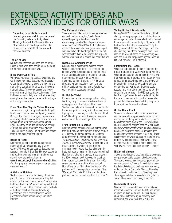# EXTENDED ACTIVITY IDEAS AND EXPANSION IDEAS FOR OTHER WARS

Depending on available time and interest, you may wish to pursue one of the following related activity ideas. These go beyond the Vietnam War into other wars, and can help students tie military involvements of one era with those of another.

### **The Art of War**

Students can research paintings and sculptures linked to past wars, then design a new memorial for the recent Iraqi Freedom War.

### **If the Trees Could Talk...**

When was your area first settled? Was there any wartime activity there? Students could research what might have taken place where they live and then write a portrait of the times and the events that took place. They could access archives or sources from their local historical society. If there had been no war activity at all in their area, they could pick another area and a period in history in which troops were active.

### **From Blue-Star Flags to Yellow Ribbons**

The American Legion supplies blue-star flags to families who have a loved one fighting overseas. Often, yellow ribbons also signify someone on active duty. Students could look back at previous wars and find out if there were other similar signs, then they could design their own concept of a flag, banner or other kind of designation. They could also make yellow ribbons and donate them to the local American Legion.

### **Roads of Honor**

Many times we come across roads that bear names of military personnel, and often we wonder: Who were these people? Students can research the nation's Blue Star Highway system to find out how, why and when this tradition was started. Have them check it out at

**www.fhwa.dot.gov/infrastructure/blue01.htm**. Can they propose any new highway names based

on recent events?

### **A Matter of Opinion**

Students could research the history of anti-war protest. How far back in American history did citizens protest involvement in a war? Which wars had limited opposition? Which had a great deal of opposition? How did the communication methods of the times affect notifying and involving protestors in group demonstrations? Which protest movements spread slowly, and which rapidly?

#### **The Voices of History**

There are many noted historians whose work has dealt with various wars, i.e., Shelby Foote is quoted frequently in Ken Burns' epic TV documentary, *The Civil War.* Stephen Ambrose wrote much about World War II. Students could research the writers who have given voice to past wars and delve into their biographies to find out what motivated them to be interested in a specific war and what their point of view was about that war.

### **Symbols of American Pride**

Students could research the reasons behind various military traditions—for example, the specific way an American flag is folded or what the 21-gun salute means (it totals the numbers that comprise the year America won its independence from England, 1-7-7-6). What about the various medals of honor and the military designations such as the Purple Heart worn by highly decorated soldiers?

### **It's Not So Trivial**

Each era has had its own songs, cultural trivia, fashions, slang, prominent television shows or newspapers and other "signs of the times." Students can determine these cultural markers for the various periods during which Americans were fighting wars. How many reflected the war of that time? Then they can make trivia cards and quiz each other on their knowledge of the era.

### **From Battlefield to Screen**

Many important battles have been memorialized through films about the exploits of brave soldiers or legendary military commanders. Students could research the stories behind films such as *We Were Soldiers, The Bridge on the River Kwai, Patton,* or *Saving Private Ryan,* for example. Can they determine how close to the truth the filmmakers were? Were liberties taken with the historical truth to make the film more compelling? How has war differed in the way it was shown in the 1940s versus now? How was the attack on Pearl Harbor portrayed in films from the 1950s versus the more recent film, *Pearl Harbor?* How differently do films about the Vietnam War portray conflict in comparison to movies of the '40s about World War II? Is the morality of war portrayed as less clearcut now than it once was?

#### **Telling It Like It Wants to Be**

During World War II, some filmmakers got their start by making propaganda and training films to encourage support of the war effort and to instruct those who would be sent to fight. Students could find out how this effort was coordinated by the U.S. government, the films' messages, and how effective they think those messages were. They also could research those on the opposing side who had their own propaganda agenda, such as Hitler's filmmaker, Leni Riefenstahl.

### **Entertaining the Troops**

What role did entertainers play in boosting the troops' morale during World War II and Vietnam? What famous actors either enlisted in World War II or went abroad to provide moral support? What famous singer drew huge media attention when he enrolled in the Army? What about posters designed to sell war bonds? Students could research and learn about the involvement of the entertainment industry—the USO canteens, the late Bob Hope's commitment to entertaining the troops and the many actors and actresses who gave of their time and talent to bring laughter to those stationed far away from home.

### **On the Home Front**

Students could research the sacrifices American citizens made when supplies and material had to be diverted for use during World War II—i.e., coupon books for rationing meat or gas. They would learn about the invention of nylon because of war needs, and how women went to work in munitions factories because so many men were sent abroad to fight. Long before women's liberation, "Rosie the Riveter" was manning her workpost, keeping the home fires burning by doing traditional "men's work." How different have the sacrifices at home been since World War II? Have there been as many—or any?

### **Historical Markers**

Students could create a large art project showing the geography and battle locations of selected wars. They could even recreate the campaigns of military commanders—i.e., Sherman's march to the sea or the Battle of Gettysburg, the invasion of Normandy, or the bombing of Cambodia. They could overlay their map with another version of the geography showing present-day towns and roads to get a real sense of how places have changed over time.

### **Memorials of Honor**

Students can research the locations of national memorial cemeteries, both in the U.S. and abroad, in which soldiers are buried. They can find out about the cemeteries' origins, how they were authorized, and what the rules of burial are.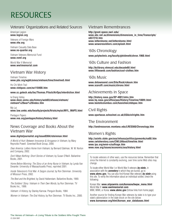# **RESOURCES**

### Veterans' Organizations and Related Sources

American Legion **www.legion.org**

Veterans of Foreign Wars **www.vfw.org**

Vietnam Casualty Data Base **www.no-quarter.org**

Vietnam Veterans Memorial Fund **www.vvmf.org**

World War II Memorial **www.wwiimemorial.com**

## Vietnam War History

Vietnam Timeline **www.pbs.org/wgbh/amex/vietnam/time/timeline5.html**

Ho Chi Minh Trail **www.vietquoc.com/na110400.htm**

**www.cc.gatech.edu/fac/Thomas.Pilsch/AirOps/interdiction.html**

la Drang Valley **www.dean.usma.edu/history/web03/atlases/vietnam/ vietnam%20war%20index.htm**

My Lai

**www.law.umkc.edu/faculty/projects/ftrials/mylai/MYL\_MAPS.html**

Pentagon Papers **www.vva.org/pentagon/history/history.html**

### News Coverage and Books About the Vietnam War

### **www.digitaljournalist.org/issue0304/rsteinman.html**

*A World of Hurt: Between Innocence & Arrogance in Vietnam,* by Mary Reynolds Powell. Greenleaf Book Group, 2000.

*Dear America: Letters Home from Vietnam,* by Bernard Edelman, W. W. Norton and Company, 2002.

*Don't Mean Nothing: Short Stories of Vietnam,* by Susan O'Neill. Ballantine Books, 2001.

*Home Before Morning: The Story of an Army Nurse in Vietnam,* by Lynda Van Devanter. University of Massachusetts Press, reprinted 2001.

*Inside Television's First War: A Saigon Journal,* by Ron Steinman. University of Missouri Press, 2002.

*The Best and the Brightest,* by David Halberstam. Ballantine Books, 1969.

*The Soldiers' Story: Vietnam in Their Own Words,* by Ron Steinman. TV Books Inc., 1999.

*Vietnam: A History,* by Stanley Karnow. Penguin Books, 1984.

*Women in Vietnam: The Oral History,* by Ron Steinman. TV Books Inc., 2000.

### Vietnam Remembrances

**http://grunt.space.swri.edu/ www.abc.net.au/dimensions/dimensions\_in\_time/Transcripts/ s837218.htm www.lettershome.net/lettershome.html www.weweresoldiers.com/splash.html**

### '60s Chronology

**www.polytechnic.org/faculty/gfeldmeth/chron.1960.html**

### '60s Culture and Fashion

**http://kclibrary.nhmccd.edu/decade60.html www.fiftiesweb.com/fashion/cool-clothes.htm**

### '60s Music

**www.dntownsend.com/Site/Rock/rcksum.htm www.scaruffi.com/music/chrono.html**

### Achievements in Space

**http://history.nasa.gov/SP-4001/intro.htm www.hq.nasa.gov/office/pao/History/Timeline/100flt.html www.bestofcolumbus.com/fussichen/otdspac.htm**

### Civil Rights

**www.spartacus.schoolnet.co.uk/USAcivilrights.htm**

### The Environment

**http://landresources.montana.edu/LRES560/Chronology.htm**

### Women's Rights

**http://usinfo.state.gov/usa/infousa/politics/govworks/na68.htm www.cwluherstory.com/CWLUAbout/timeline.html www.ipu.org/wmn-e/suffrage.htm www.now.org/issues/economic/cea/history.html**

To locate veterans of other wars, use the resources below. Remember that since the Internet is constantly evolving, over time some Web sites may change.

To locate either World War I or World War II veterans *by state,* in association with the *cemetery* in which they are buried, go to **www.abmc.gov.** You can also find Korean War veterans *by state* using this site. To verify the information about an individual soldier, check the following:

Korean War: **www.aiipowmia.com/koreacw/kwpw\_menu.html** World War II: **www.wwiimemorial.com** WWI, WWII, or Korea: **www.abmc.gov** (follow links from home page)

Another source for finding Korean War veterans by state is to type your state's abbreviation in the state block on the site below: **www.koreanwar.org/html/korean\_war\_databases.html**